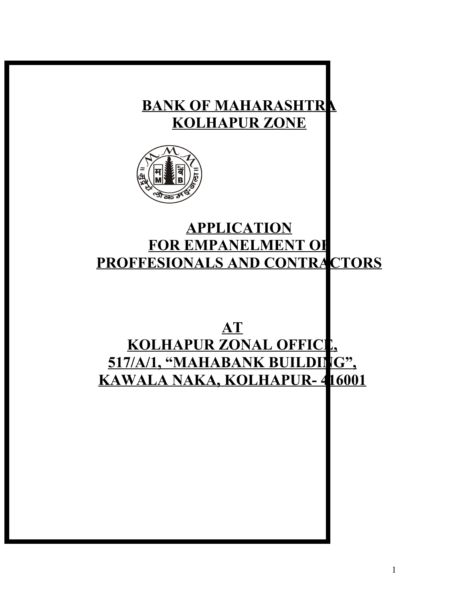# **BANK OF MAHARASHTRA KOLHAPUR ZONE**



# **APPLICATION FOR EMPANELMENT OF PROFFESIONALS AND CONTRACTORS**

# **AT KOLHAPUR ZONAL OFFICE, 517/A/1, "MAHABANK BUILDING", KAWALA NAKA, KOLHAPUR- 416001**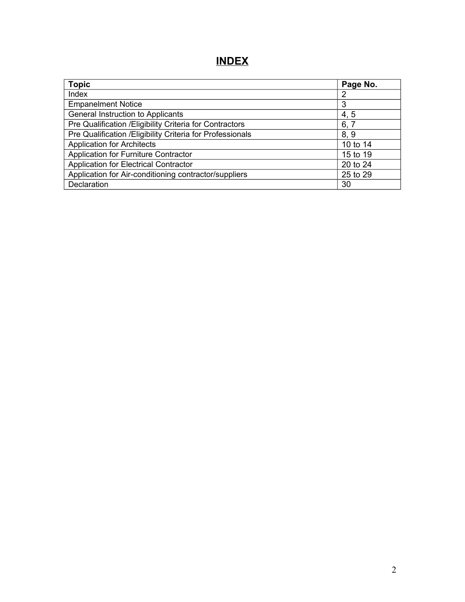# **INDEX**

| <b>Topic</b>                                               | Page No. |
|------------------------------------------------------------|----------|
| Index                                                      | 2        |
| <b>Empanelment Notice</b>                                  | 3        |
| General Instruction to Applicants                          | 4, 5     |
| Pre Qualification / Eligibility Criteria for Contractors   | 6, 7     |
| Pre Qualification / Eligibility Criteria for Professionals | 8,9      |
| <b>Application for Architects</b>                          | 10 to 14 |
| Application for Furniture Contractor                       | 15 to 19 |
| Application for Electrical Contractor                      | 20 to 24 |
| Application for Air-conditioning contractor/suppliers      | 25 to 29 |
| Declaration                                                | 30       |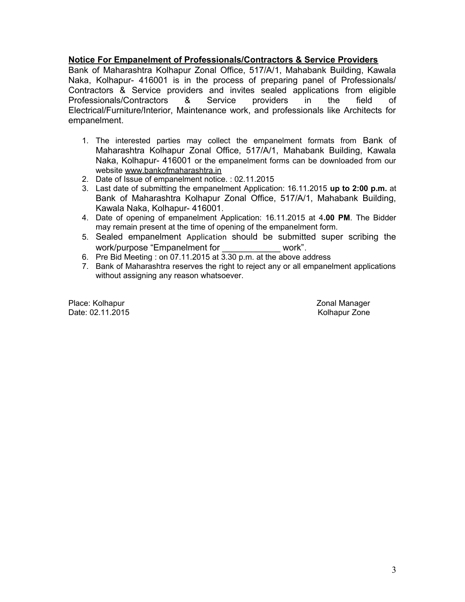### **Notice For Empanelment of Professionals/Contractors & Service Providers**

Bank of Maharashtra Kolhapur Zonal Office, 517/A/1, Mahabank Building, Kawala Naka, Kolhapur- 416001 is in the process of preparing panel of Professionals/ Contractors & Service providers and invites sealed applications from eligible Professionals/Contractors & Service providers in the field of Electrical/Furniture/Interior, Maintenance work, and professionals like Architects for empanelment.

- 1. The interested parties may collect the empanelment formats from Bank of Maharashtra Kolhapur Zonal Office, 517/A/1, Mahabank Building, Kawala Naka, Kolhapur- 416001 or the empanelment forms can be downloaded from our website [www.bankofmaharashtra.in](http://www.bankofmaharashtra.in/)
- 2. Date of Issue of empanelment notice. : 02.11.2015
- 3. Last date of submitting the empanelment Application: 16.11.2015 **up to 2:00 p.m.** at Bank of Maharashtra Kolhapur Zonal Office, 517/A/1, Mahabank Building, Kawala Naka, Kolhapur- 416001.
- 4. Date of opening of empanelment Application: 16.11.2015 at 4**.00 PM**. The Bidder may remain present at the time of opening of the empanelment form.
- 5. Sealed empanelment Application should be submitted super scribing the work/purpose "Empanelment for work".
- 6. Pre Bid Meeting : on 07.11.2015 at 3.30 p.m. at the above address
- 7. Bank of Maharashtra reserves the right to reject any or all empanelment applications without assigning any reason whatsoever.

Place: Kolhapur **Zonal Manager** 2016 **Place: Kolhapur** 2016 Date: 02.11.2015 Rolland Burner Controller Number 2016 North American American American American American American American American American American American American American American American American American American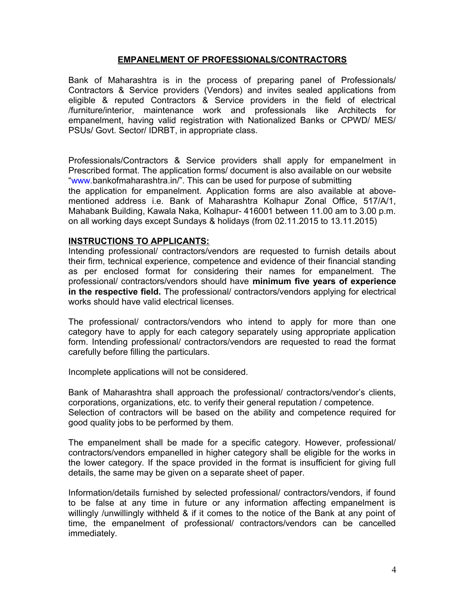### **EMPANELMENT OF PROFESSIONALS/CONTRACTORS**

Bank of Maharashtra is in the process of preparing panel of Professionals/ Contractors & Service providers (Vendors) and invites sealed applications from eligible & reputed Contractors & Service providers in the field of electrical /furniture/interior, maintenance work and professionals like Architects for empanelment, having valid registration with Nationalized Banks or CPWD/ MES/ PSUs/ Govt. Sector/ IDRBT, in appropriate class.

Professionals/Contractors & Service providers shall apply for empanelment in Prescribed format. The application forms/ document is also available on our website "www.bankofmaharashtra.in/". This can be used for purpose of submitting the application for empanelment. Application forms are also available at abovementioned address i.e. Bank of Maharashtra Kolhapur Zonal Office, 517/A/1, Mahabank Building, Kawala Naka, Kolhapur- 416001 between 11.00 am to 3.00 p.m. on all working days except Sundays & holidays (from 02.11.2015 to 13.11.2015)

### **INSTRUCTIONS TO APPLICANTS:**

Intending professional/ contractors/vendors are requested to furnish details about their firm, technical experience, competence and evidence of their financial standing as per enclosed format for considering their names for empanelment. The professional/ contractors/vendors should have **minimum five years of experience in the respective field.** The professional/ contractors/vendors applying for electrical works should have valid electrical licenses.

The professional/ contractors/vendors who intend to apply for more than one category have to apply for each category separately using appropriate application form. Intending professional/ contractors/vendors are requested to read the format carefully before filling the particulars.

Incomplete applications will not be considered.

Bank of Maharashtra shall approach the professional/ contractors/vendor's clients, corporations, organizations, etc. to verify their general reputation / competence. Selection of contractors will be based on the ability and competence required for good quality jobs to be performed by them.

The empanelment shall be made for a specific category. However, professional/ contractors/vendors empanelled in higher category shall be eligible for the works in the lower category. If the space provided in the format is insufficient for giving full details, the same may be given on a separate sheet of paper.

Information/details furnished by selected professional/ contractors/vendors, if found to be false at any time in future or any information affecting empanelment is willingly /unwillingly withheld & if it comes to the notice of the Bank at any point of time, the empanelment of professional/ contractors/vendors can be cancelled immediately.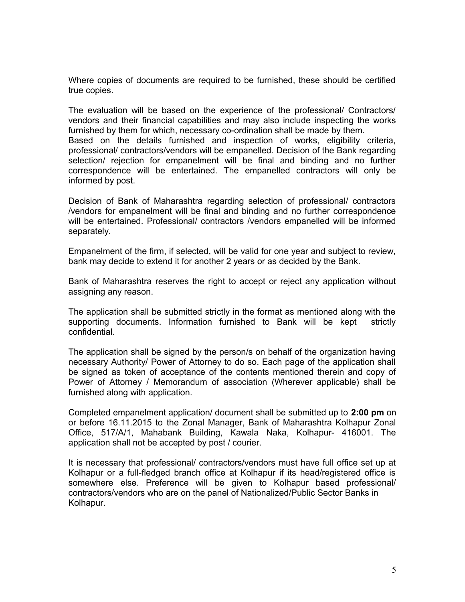Where copies of documents are required to be furnished, these should be certified true copies.

The evaluation will be based on the experience of the professional/ Contractors/ vendors and their financial capabilities and may also include inspecting the works furnished by them for which, necessary co-ordination shall be made by them.

Based on the details furnished and inspection of works, eligibility criteria, professional/ contractors/vendors will be empanelled. Decision of the Bank regarding selection/ rejection for empanelment will be final and binding and no further correspondence will be entertained. The empanelled contractors will only be informed by post.

Decision of Bank of Maharashtra regarding selection of professional/ contractors /vendors for empanelment will be final and binding and no further correspondence will be entertained. Professional/ contractors /vendors empanelled will be informed separately.

Empanelment of the firm, if selected, will be valid for one year and subject to review, bank may decide to extend it for another 2 years or as decided by the Bank.

Bank of Maharashtra reserves the right to accept or reject any application without assigning any reason.

The application shall be submitted strictly in the format as mentioned along with the supporting documents. Information furnished to Bank will be kept strictly confidential.

The application shall be signed by the person/s on behalf of the organization having necessary Authority/ Power of Attorney to do so. Each page of the application shall be signed as token of acceptance of the contents mentioned therein and copy of Power of Attorney / Memorandum of association (Wherever applicable) shall be furnished along with application.

Completed empanelment application/ document shall be submitted up to **2:00 pm** on or before 16.11.2015 to the Zonal Manager, Bank of Maharashtra Kolhapur Zonal Office, 517/A/1, Mahabank Building, Kawala Naka, Kolhapur- 416001. The application shall not be accepted by post / courier.

It is necessary that professional/ contractors/vendors must have full office set up at Kolhapur or a full-fledged branch office at Kolhapur if its head/registered office is somewhere else. Preference will be given to Kolhapur based professional/ contractors/vendors who are on the panel of Nationalized/Public Sector Banks in Kolhapur.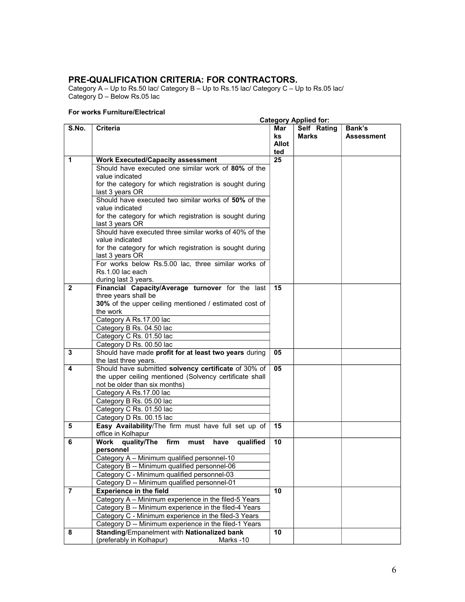### **PRE-QUALIFICATION CRITERIA: FOR CONTRACTORS.**

Category A – Up to Rs.50 lac/ Category B – Up to Rs.15 lac/ Category C – Up to Rs.05 lac/ Category D – Below Rs.05 lac

### **For works Furniture/Electrical**

|                |                                                                                                                                                  |                           | <b>Category Applied for:</b> |                             |
|----------------|--------------------------------------------------------------------------------------------------------------------------------------------------|---------------------------|------------------------------|-----------------------------|
| S.No.          | <b>Criteria</b>                                                                                                                                  | Mar<br>ks<br>Allot<br>ted | Self Rating<br><b>Marks</b>  | Bank's<br><b>Assessment</b> |
| $\mathbf 1$    | <b>Work Executed/Capacity assessment</b>                                                                                                         | 25                        |                              |                             |
|                | Should have executed one similar work of 80% of the<br>value indicated<br>for the category for which registration is sought during               |                           |                              |                             |
|                | last 3 years OR<br>Should have executed two similar works of 50% of the                                                                          |                           |                              |                             |
|                | value indicated<br>for the category for which registration is sought during<br>last 3 years OR                                                   |                           |                              |                             |
|                | Should have executed three similar works of 40% of the<br>value indicated<br>for the category for which registration is sought during            |                           |                              |                             |
|                | last 3 years OR                                                                                                                                  |                           |                              |                             |
|                | For works below Rs.5.00 lac, three similar works of<br>Rs.1.00 lac each<br>during last 3 years.                                                  |                           |                              |                             |
| $\mathbf{2}$   | Financial Capacity/Average turnover for the last<br>three years shall be<br>30% of the upper ceiling mentioned / estimated cost of               | 15                        |                              |                             |
|                | the work                                                                                                                                         |                           |                              |                             |
|                | Category A Rs.17.00 lac<br>Category B Rs. 04.50 lac                                                                                              |                           |                              |                             |
|                | Category C Rs. 01.50 lac                                                                                                                         |                           |                              |                             |
|                | Category D Rs. 00.50 lac                                                                                                                         |                           |                              |                             |
| 3              | Should have made profit for at least two years during<br>the last three years.                                                                   | 05                        |                              |                             |
| 4              | Should have submitted solvency certificate of 30% of<br>the upper ceiling mentioned (Solvency certificate shall<br>not be older than six months) | 05                        |                              |                             |
|                | Category A Rs.17.00 lac<br>Category B Rs. 05.00 lac                                                                                              |                           |                              |                             |
|                | Category C Rs. 01.50 lac                                                                                                                         |                           |                              |                             |
|                | Category D Rs. 00.15 lac                                                                                                                         |                           |                              |                             |
| 5              | Easy Availability/The firm must have full set up of<br>office in Kolhapur                                                                        | 15                        |                              |                             |
| 6              | quality/The<br><b>Work</b><br>firm must<br>have<br>qualified                                                                                     | 10                        |                              |                             |
|                | personnel<br>Category A - Minimum qualified personnel-10                                                                                         |                           |                              |                             |
|                | Category B -- Minimum qualified personnel-06                                                                                                     |                           |                              |                             |
|                | Category C - Minimum qualified personnel-03                                                                                                      |                           |                              |                             |
| $\overline{7}$ | Category D -- Minimum qualified personnel-01<br><b>Experience in the field</b>                                                                   | 10                        |                              |                             |
|                | Category A - Minimum experience in the filed-5 Years                                                                                             |                           |                              |                             |
|                | Category B -- Minimum experience in the filed-4 Years                                                                                            |                           |                              |                             |
|                | Category C - Minimum experience in the filed-3 Years                                                                                             |                           |                              |                             |
|                | Category D -- Minimum experience in the filed-1 Years                                                                                            |                           |                              |                             |
| 8              | Standing/Empanelment with Nationalized bank<br>(preferably in Kolhapur)<br>Marks-10                                                              | 10                        |                              |                             |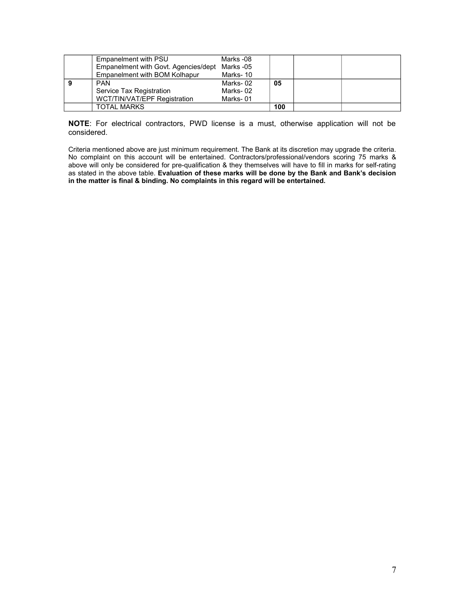| Empanelment with PSU                 | Marks -08 |     |  |
|--------------------------------------|-----------|-----|--|
| Empanelment with Govt. Agencies/dept | Marks -05 |     |  |
| Empanelment with BOM Kolhapur        | Marks-10  |     |  |
| <b>PAN</b>                           | Marks-02  | 05  |  |
| Service Tax Registration             | Marks-02  |     |  |
| WCT/TIN/VAT/EPF Registration         | Marks-01  |     |  |
| TOTAL MARKS                          |           | 100 |  |

**NOTE**: For electrical contractors, PWD license is a must, otherwise application will not be considered.

Criteria mentioned above are just minimum requirement. The Bank at its discretion may upgrade the criteria. No complaint on this account will be entertained. Contractors/professional/vendors scoring 75 marks & above will only be considered for pre-qualification & they themselves will have to fill in marks for self-rating as stated in the above table. **Evaluation of these marks will be done by the Bank and Bank's decision in the matter is final & binding. No complaints in this regard will be entertained.**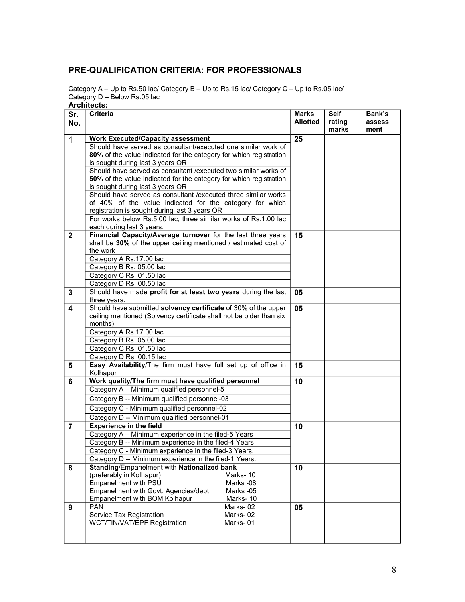### **PRE-QUALIFICATION CRITERIA: FOR PROFESSIONALS**

Category A – Up to Rs.50 lac/ Category B – Up to Rs.15 lac/ Category C – Up to Rs.05 lac/ Category D – Below Rs.05 lac

**Architects:** 

| Sr.                     | <b>Criteria</b>                                                     | <b>Marks</b>    | <b>Self</b> | Bank's |
|-------------------------|---------------------------------------------------------------------|-----------------|-------------|--------|
| No.                     |                                                                     | <b>Allotted</b> | rating      | assess |
|                         |                                                                     |                 | marks       | ment   |
| $\overline{1}$          | <b>Work Executed/Capacity assessment</b>                            | 25              |             |        |
|                         | Should have served as consultant/executed one similar work of       |                 |             |        |
|                         | 80% of the value indicated for the category for which registration  |                 |             |        |
|                         | is sought during last 3 years OR                                    |                 |             |        |
|                         | Should have served as consultant / executed two similar works of    |                 |             |        |
|                         | 50% of the value indicated for the category for which registration  |                 |             |        |
|                         | is sought during last 3 years OR                                    |                 |             |        |
|                         | Should have served as consultant / executed three similar works     |                 |             |        |
|                         | of 40% of the value indicated for the category for which            |                 |             |        |
|                         | registration is sought during last 3 years OR                       |                 |             |        |
|                         | For works below Rs.5.00 lac, three similar works of Rs.1.00 lac     |                 |             |        |
|                         | each during last 3 years.                                           |                 |             |        |
| $\mathbf{2}$            | Financial Capacity/Average turnover for the last three years        | 15              |             |        |
|                         | shall be 30% of the upper ceiling mentioned / estimated cost of     |                 |             |        |
|                         | the work                                                            |                 |             |        |
|                         | Category A Rs.17.00 lac                                             |                 |             |        |
|                         | Category B Rs. 05.00 lac                                            |                 |             |        |
|                         | Category C Rs. 01.50 lac                                            |                 |             |        |
|                         | Category D Rs. 00.50 lac                                            |                 |             |        |
| 3                       | Should have made profit for at least two years during the last      | 05              |             |        |
|                         | three years.                                                        |                 |             |        |
| $\overline{\mathbf{4}}$ | Should have submitted solvency certificate of 30% of the upper      | 05              |             |        |
|                         | ceiling mentioned (Solvency certificate shall not be older than six |                 |             |        |
|                         | months)                                                             |                 |             |        |
|                         | Category A Rs.17.00 lac                                             |                 |             |        |
|                         | Category B Rs. 05.00 lac                                            |                 |             |        |
|                         | Category C Rs. 01.50 lac                                            |                 |             |        |
|                         | Category D Rs. 00.15 lac                                            |                 |             |        |
| 5                       | Easy Availability/The firm must have full set up of office in       | 15              |             |        |
|                         | Kolhapur                                                            |                 |             |        |
| 6                       | Work quality/The firm must have qualified personnel                 | 10              |             |        |
|                         | Category A - Minimum qualified personnel-5                          |                 |             |        |
|                         | Category B -- Minimum qualified personnel-03                        |                 |             |        |
|                         | Category C - Minimum qualified personnel-02                         |                 |             |        |
|                         | Category D -- Minimum qualified personnel-01                        |                 |             |        |
| $\overline{7}$          | <b>Experience in the field</b>                                      | 10              |             |        |
|                         | Category A - Minimum experience in the filed-5 Years                |                 |             |        |
|                         | Category B -- Minimum experience in the filed-4 Years               |                 |             |        |
|                         | Category C - Minimum experience in the filed-3 Years.               |                 |             |        |
|                         | Category D -- Minimum experience in the filed-1 Years.              |                 |             |        |
| 8                       | Standing/Empanelment with Nationalized bank                         | 10              |             |        |
|                         | (preferably in Kolhapur)<br>Marks-10                                |                 |             |        |
|                         | Empanelment with PSU<br>Marks -08                                   |                 |             |        |
|                         | Empanelment with Govt. Agencies/dept<br>Marks -05                   |                 |             |        |
|                         | Empanelment with BOM Kolhapur<br>Marks-10                           |                 |             |        |
| 9                       | <b>PAN</b><br>Marks-02                                              | 05              |             |        |
|                         | Marks-02<br>Service Tax Registration                                |                 |             |        |
|                         | WCT/TIN/VAT/EPF Registration<br>Marks-01                            |                 |             |        |
|                         |                                                                     |                 |             |        |
|                         |                                                                     |                 |             |        |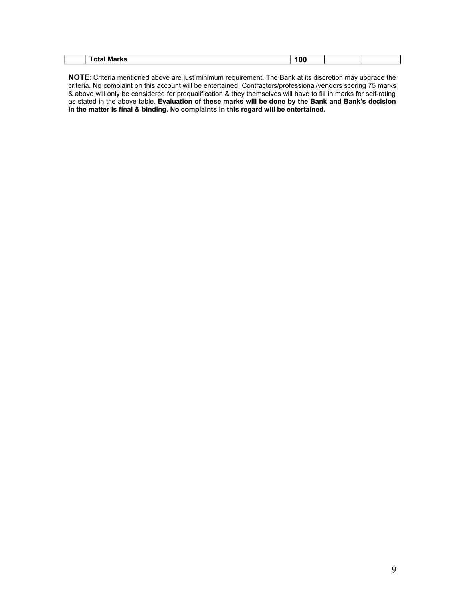|  |  | $\mathbf{A}$<br>m<br>________ | 101<br>. .<br>. . |  |  |
|--|--|-------------------------------|-------------------|--|--|
|--|--|-------------------------------|-------------------|--|--|

**NOTE**: Criteria mentioned above are just minimum requirement. The Bank at its discretion may upgrade the criteria. No complaint on this account will be entertained. Contractors/professional/vendors scoring 75 marks & above will only be considered for prequalification & they themselves will have to fill in marks for self-rating as stated in the above table. **Evaluation of these marks will be done by the Bank and Bank's decision in the matter is final & binding. No complaints in this regard will be entertained.**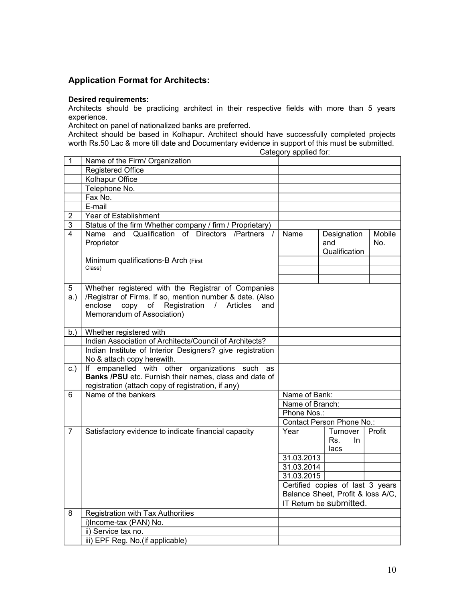### **Application Format for Architects:**

### **Desired requirements:**

Architects should be practicing architect in their respective fields with more than 5 years experience.

Architect on panel of nationalized banks are preferred.

Architect should be based in Kolhapur. Architect should have successfully completed projects worth Rs.50 Lac & more till date and Documentary evidence in support of this must be submitted.

Category applied for:

| 1              | Name of the Firm/ Organization                            |                 |                                   |        |
|----------------|-----------------------------------------------------------|-----------------|-----------------------------------|--------|
|                | <b>Registered Office</b>                                  |                 |                                   |        |
|                | <b>Kolhapur Office</b>                                    |                 |                                   |        |
|                | Telephone No.                                             |                 |                                   |        |
|                | Fax No.                                                   |                 |                                   |        |
|                | E-mail                                                    |                 |                                   |        |
| $\overline{2}$ | Year of Establishment                                     |                 |                                   |        |
| $\overline{3}$ | Status of the firm Whether company / firm / Proprietary)  |                 |                                   |        |
| 4              | Name and Qualification of Directors /Partners /           | Name            | Designation                       | Mobile |
|                | Proprietor                                                |                 | and                               | No.    |
|                |                                                           |                 | Qualification                     |        |
|                | Minimum qualifications-B Arch (First                      |                 |                                   |        |
|                | Class)                                                    |                 |                                   |        |
|                |                                                           |                 |                                   |        |
| 5              | Whether registered with the Registrar of Companies        |                 |                                   |        |
| a.)            | /Registrar of Firms. If so, mention number & date. (Also  |                 |                                   |        |
|                | enclose<br>of<br>Registration / Articles<br>copy<br>and   |                 |                                   |        |
|                | Memorandum of Association)                                |                 |                                   |        |
|                |                                                           |                 |                                   |        |
| b.)            | Whether registered with                                   |                 |                                   |        |
|                | Indian Association of Architects/Council of Architects?   |                 |                                   |        |
|                | Indian Institute of Interior Designers? give registration |                 |                                   |        |
|                | No & attach copy herewith.                                |                 |                                   |        |
| c.)            | If empanelled with other organizations<br>such<br>as      |                 |                                   |        |
|                | Banks /PSU etc. Furnish their names, class and date of    |                 |                                   |        |
|                | registration (attach copy of registration, if any)        |                 |                                   |        |
| 6              | Name of the bankers                                       | Name of Bank:   |                                   |        |
|                |                                                           | Name of Branch: |                                   |        |
|                |                                                           | Phone Nos.:     |                                   |        |
|                |                                                           |                 | Contact Person Phone No.:         |        |
| $\overline{7}$ | Satisfactory evidence to indicate financial capacity      | Year            | Turnover                          | Profit |
|                |                                                           |                 | Rs.<br>In.                        |        |
|                |                                                           |                 | lacs                              |        |
|                |                                                           | 31.03.2013      |                                   |        |
|                |                                                           | 31.03.2014      |                                   |        |
|                |                                                           | 31.03.2015      |                                   |        |
|                |                                                           |                 | Certified copies of last 3 years  |        |
|                |                                                           |                 | Balance Sheet, Profit & loss A/C, |        |
|                |                                                           |                 | IT Return be submitted.           |        |
| 8              | Registration with Tax Authorities                         |                 |                                   |        |
|                | i)Income-tax (PAN) No.                                    |                 |                                   |        |
|                | ii) Service tax no.                                       |                 |                                   |        |
|                | iii) EPF Reg. No. (if applicable)                         |                 |                                   |        |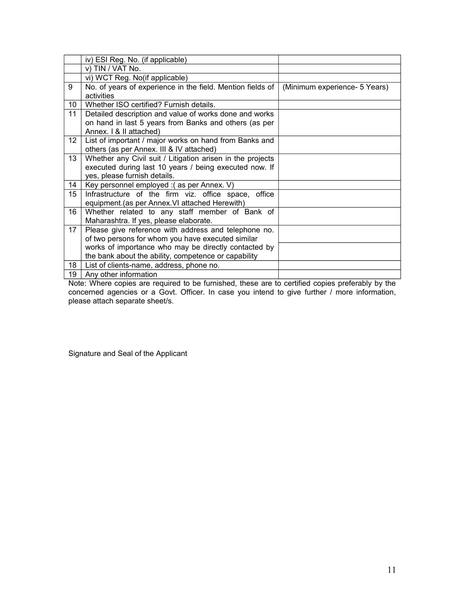|    | iv) ESI Reg. No. (if applicable)                           |                               |
|----|------------------------------------------------------------|-------------------------------|
|    | v) TIN / VAT No.                                           |                               |
|    | vi) WCT Reg. No(if applicable)                             |                               |
| 9  | No. of years of experience in the field. Mention fields of | (Minimum experience- 5 Years) |
|    | activities                                                 |                               |
| 10 | Whether ISO certified? Furnish details.                    |                               |
| 11 | Detailed description and value of works done and works     |                               |
|    | on hand in last 5 years from Banks and others (as per      |                               |
|    | Annex. I & II attached)                                    |                               |
| 12 | List of important / major works on hand from Banks and     |                               |
|    | others (as per Annex. III & IV attached)                   |                               |
| 13 | Whether any Civil suit / Litigation arisen in the projects |                               |
|    | executed during last 10 years / being executed now. If     |                               |
|    | yes, please furnish details.                               |                               |
| 14 | Key personnel employed : (as per Annex. V)                 |                               |
| 15 | Infrastructure of the firm viz. office space, office       |                               |
|    | equipment.(as per Annex. VI attached Herewith)             |                               |
| 16 | Whether related to any staff member of Bank of             |                               |
|    | Maharashtra. If yes, please elaborate.                     |                               |
| 17 | Please give reference with address and telephone no.       |                               |
|    | of two persons for whom you have executed similar          |                               |
|    | works of importance who may be directly contacted by       |                               |
|    | the bank about the ability, competence or capability       |                               |
| 18 | List of clients-name, address, phone no.                   |                               |
| 19 | Any other information                                      |                               |

Note: Where copies are required to be furnished, these are to certified copies preferably by the concerned agencies or a Govt. Officer. In case you intend to give further / more information, please attach separate sheet/s.

Signature and Seal of the Applicant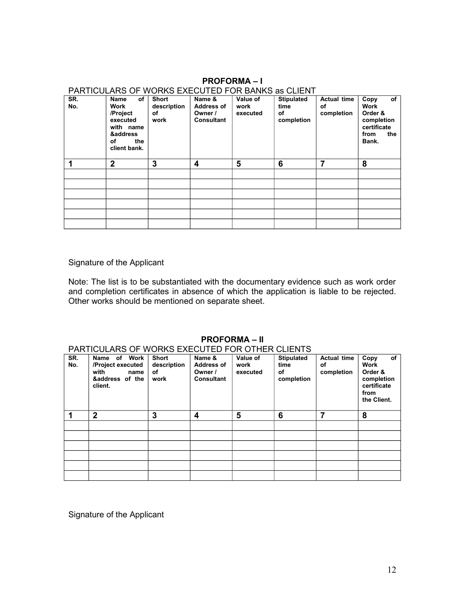### **PROFORMA – I**

#### **SR. No. Name of Work /Project executed with name &address of the client bank. Short description of work Name & Address of Owner / Consultant Value of work executed Stipulated time of completion Actual time of completion Copy of Work Order & completion certificate from the Bank. 1 2 3 4 5 6 7 8**

PARTICULARS OF WORKS EXECUTED FOR BANKS as CLIENT

Signature of the Applicant

Note: The list is to be substantiated with the documentary evidence such as work order and completion certificates in absence of which the application is liable to be rejected. Other works should be mentioned on separate sheet.

### **PROFORMA – II**

### PARTICULARS OF WORKS EXECUTED FOR OTHER CLIENTS

| SR.<br>No. | Name of Work<br>/Project executed<br>with<br>name<br>&address of the<br>client. | Short<br>description<br>of<br>work | Name &<br><b>Address of</b><br>Owner /<br><b>Consultant</b> | Value of<br>work<br>executed | <b>Stipulated</b><br>time<br>of<br>completion | Actual time<br>of<br>completion | of<br>Copy<br><b>Work</b><br>Order &<br>completion<br>certificate<br>from<br>the Client. |
|------------|---------------------------------------------------------------------------------|------------------------------------|-------------------------------------------------------------|------------------------------|-----------------------------------------------|---------------------------------|------------------------------------------------------------------------------------------|
| 1          | $\overline{2}$                                                                  | 3                                  | 4                                                           | 5                            | 6                                             | 7                               | 8                                                                                        |
|            |                                                                                 |                                    |                                                             |                              |                                               |                                 |                                                                                          |
|            |                                                                                 |                                    |                                                             |                              |                                               |                                 |                                                                                          |
|            |                                                                                 |                                    |                                                             |                              |                                               |                                 |                                                                                          |
|            |                                                                                 |                                    |                                                             |                              |                                               |                                 |                                                                                          |
|            |                                                                                 |                                    |                                                             |                              |                                               |                                 |                                                                                          |
|            |                                                                                 |                                    |                                                             |                              |                                               |                                 |                                                                                          |

Signature of the Applicant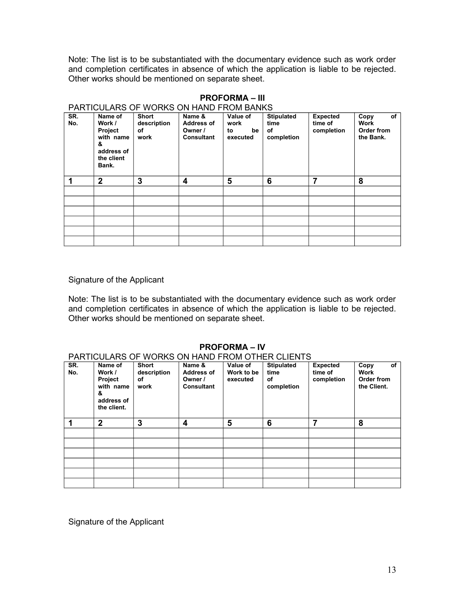Note: The list is to be substantiated with the documentary evidence such as work order and completion certificates in absence of which the application is liable to be rejected. Other works should be mentioned on separate sheet.

|            | PARTIGULARS OF WORNS ON HAND FROM BANNS                                             |                                           |                                                             |                                          |                                               |                                          |                                               |
|------------|-------------------------------------------------------------------------------------|-------------------------------------------|-------------------------------------------------------------|------------------------------------------|-----------------------------------------------|------------------------------------------|-----------------------------------------------|
| SR.<br>No. | Name of<br>Work /<br>Project<br>with name<br>&<br>address of<br>the client<br>Bank. | <b>Short</b><br>description<br>οf<br>work | Name &<br><b>Address of</b><br>Owner /<br><b>Consultant</b> | Value of<br>work<br>be<br>to<br>executed | <b>Stipulated</b><br>time<br>οf<br>completion | <b>Expected</b><br>time of<br>completion | of<br>Copy<br>Work<br>Order from<br>the Bank. |
| 1          | $\mathbf{2}$                                                                        | 3                                         | 4                                                           | 5                                        | 6                                             | 7                                        | 8                                             |
|            |                                                                                     |                                           |                                                             |                                          |                                               |                                          |                                               |
|            |                                                                                     |                                           |                                                             |                                          |                                               |                                          |                                               |
|            |                                                                                     |                                           |                                                             |                                          |                                               |                                          |                                               |
|            |                                                                                     |                                           |                                                             |                                          |                                               |                                          |                                               |
|            |                                                                                     |                                           |                                                             |                                          |                                               |                                          |                                               |
|            |                                                                                     |                                           |                                                             |                                          |                                               |                                          |                                               |

#### **PROFORMA – III** PARTICULARS OF WORKS ON HAND FROM BANKS

Signature of the Applicant

Note: The list is to be substantiated with the documentary evidence such as work order and completion certificates in absence of which the application is liable to be rejected. Other works should be mentioned on separate sheet.

### **PROFORMA – IV**

### PARTICULARS OF WORKS ON HAND FROM OTHER CLIENTS

| SR.<br>No. | Name of<br>Work /<br>Project<br>with name<br>&<br>address of<br>the client. | <b>Short</b><br>description<br>οf<br>work | Name &<br><b>Address of</b><br>Owner /<br><b>Consultant</b> | Value of<br>Work to be<br>executed | <b>Stipulated</b><br>time<br>of<br>completion | <b>Expected</b><br>time of<br>completion | of<br>Copy<br><b>Work</b><br>Order from<br>the Client. |
|------------|-----------------------------------------------------------------------------|-------------------------------------------|-------------------------------------------------------------|------------------------------------|-----------------------------------------------|------------------------------------------|--------------------------------------------------------|
|            | $\overline{2}$                                                              | 3                                         | 4                                                           | 5                                  | 6                                             | 7                                        | 8                                                      |
|            |                                                                             |                                           |                                                             |                                    |                                               |                                          |                                                        |
|            |                                                                             |                                           |                                                             |                                    |                                               |                                          |                                                        |
|            |                                                                             |                                           |                                                             |                                    |                                               |                                          |                                                        |
|            |                                                                             |                                           |                                                             |                                    |                                               |                                          |                                                        |
|            |                                                                             |                                           |                                                             |                                    |                                               |                                          |                                                        |

Signature of the Applicant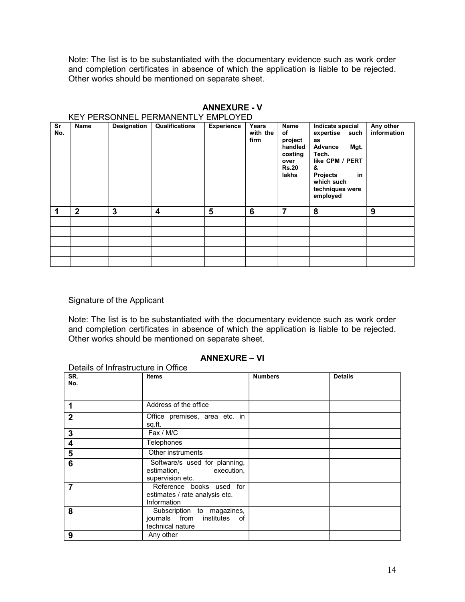Note: The list is to be substantiated with the documentary evidence such as work order and completion certificates in absence of which the application is liable to be rejected. Other works should be mentioned on separate sheet.

|           | KEY PERSONNEL PERMANENTLY EMPLOYED |             |                |                   |                           |                                                                              |                                                                                                                                                                       |                          |  |
|-----------|------------------------------------|-------------|----------------|-------------------|---------------------------|------------------------------------------------------------------------------|-----------------------------------------------------------------------------------------------------------------------------------------------------------------------|--------------------------|--|
| Sr<br>No. | <b>Name</b>                        | Designation | Qualifications | <b>Experience</b> | Years<br>with the<br>firm | Name<br>of<br>project<br>handled<br>costing<br>over<br><b>Rs.20</b><br>lakhs | Indicate special<br>expertise<br>such<br>as<br>Advance<br>Mgt.<br>Tech.<br>like CPM / PERT<br>&<br><b>Projects</b><br>in<br>which such<br>techniques were<br>employed | Any other<br>information |  |
|           | $\overline{2}$                     | 3           | 4              | 5                 | 6                         | 7                                                                            | 8                                                                                                                                                                     | 9                        |  |
|           |                                    |             |                |                   |                           |                                                                              |                                                                                                                                                                       |                          |  |
|           |                                    |             |                |                   |                           |                                                                              |                                                                                                                                                                       |                          |  |
|           |                                    |             |                |                   |                           |                                                                              |                                                                                                                                                                       |                          |  |
|           |                                    |             |                |                   |                           |                                                                              |                                                                                                                                                                       |                          |  |
|           |                                    |             |                |                   |                           |                                                                              |                                                                                                                                                                       |                          |  |

## **ANNEXURE - V**

### Signature of the Applicant

Note: The list is to be substantiated with the documentary evidence such as work order and completion certificates in absence of which the application is liable to be rejected. Other works should be mentioned on separate sheet.

### **ANNEXURE – VI**

| Details of Infrastructure in Office |                                                                                  |                |                |  |  |  |  |  |
|-------------------------------------|----------------------------------------------------------------------------------|----------------|----------------|--|--|--|--|--|
| SR.<br>No.                          | <b>Items</b>                                                                     | <b>Numbers</b> | <b>Details</b> |  |  |  |  |  |
| 1                                   | Address of the office                                                            |                |                |  |  |  |  |  |
| $\mathbf{2}$                        | Office premises, area etc. in<br>sq.ft.                                          |                |                |  |  |  |  |  |
| 3                                   | Fax / M/C                                                                        |                |                |  |  |  |  |  |
| 4                                   | Telephones                                                                       |                |                |  |  |  |  |  |
| 5                                   | Other instruments                                                                |                |                |  |  |  |  |  |
| 6                                   | Software/s used for planning,<br>estimation,<br>execution,<br>supervision etc.   |                |                |  |  |  |  |  |
| 7                                   | Reference books used for<br>estimates / rate analysis etc.<br>Information        |                |                |  |  |  |  |  |
| 8                                   | Subscription to magazines,<br>journals from institutes<br>of<br>technical nature |                |                |  |  |  |  |  |
| 9                                   | Any other                                                                        |                |                |  |  |  |  |  |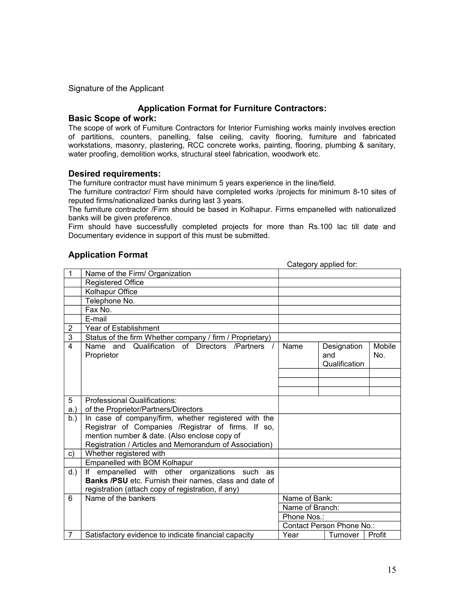### **Application Format for Furniture Contractors:**

### **Basic Scope of work:**

The scope of work of Furniture Contractors for Interior Furnishing works mainly involves erection of partitions, counters, panelling, false ceiling, cavity flooring, furniture and fabricated workstations, masonry, plastering, RCC concrete works, painting, flooring, plumbing & sanitary, water proofing, demolition works, structural steel fabrication, woodwork etc.

### **Desired requirements:**

The furniture contractor must have minimum 5 years experience in the line/field.

The furniture contractor/ Firm should have completed works /projects for minimum 8-10 sites of reputed firms/nationalized banks during last 3 years.

The furniture contractor /Firm should be based in Kolhapur. Firms empanelled with nationalized banks will be given preference.

Firm should have successfully completed projects for more than Rs.100 lac till date and Documentary evidence in support of this must be submitted.

### **Application Format**

|                           |                                                                                                             |                 | Category applied for:               |               |
|---------------------------|-------------------------------------------------------------------------------------------------------------|-----------------|-------------------------------------|---------------|
| $\mathbf 1$               | Name of the Firm/ Organization                                                                              |                 |                                     |               |
|                           | <b>Registered Office</b>                                                                                    |                 |                                     |               |
|                           | Kolhapur Office                                                                                             |                 |                                     |               |
|                           | Telephone No.                                                                                               |                 |                                     |               |
|                           | Fax No.                                                                                                     |                 |                                     |               |
|                           | E-mail                                                                                                      |                 |                                     |               |
| $\overline{2}$            | <b>Year of Establishment</b>                                                                                |                 |                                     |               |
| $\ensuremath{\mathsf{3}}$ | Status of the firm Whether company / firm / Proprietary)                                                    |                 |                                     |               |
| $\overline{\mathbf{A}}$   | Name and Qualification of Directors /Partners /<br>Proprietor                                               | Name            | Designation<br>and<br>Qualification | Mobile<br>No. |
|                           |                                                                                                             |                 |                                     |               |
|                           |                                                                                                             |                 |                                     |               |
|                           |                                                                                                             |                 |                                     |               |
| 5                         | Professional Qualifications:                                                                                |                 |                                     |               |
| a.                        | of the Proprietor/Partners/Directors                                                                        |                 |                                     |               |
| $b.$ )                    | In case of company/firm, whether registered with the                                                        |                 |                                     |               |
|                           | Registrar of Companies /Registrar of firms. If so,                                                          |                 |                                     |               |
|                           | mention number & date. (Also enclose copy of                                                                |                 |                                     |               |
|                           | Registration / Articles and Memorandum of Association)                                                      |                 |                                     |               |
| C)                        | Whether registered with                                                                                     |                 |                                     |               |
|                           | Empanelled with BOM Kolhapur                                                                                |                 |                                     |               |
| $d.$ )                    | If empanelled with other organizations such<br>as<br>Banks /PSU etc. Furnish their names, class and date of |                 |                                     |               |
|                           | registration (attach copy of registration, if any)                                                          |                 |                                     |               |
| 6                         | Name of the bankers                                                                                         | Name of Bank:   |                                     |               |
|                           |                                                                                                             | Name of Branch: |                                     |               |
|                           |                                                                                                             | Phone Nos.:     |                                     |               |
|                           |                                                                                                             |                 | Contact Person Phone No.:           |               |
| $\overline{7}$            | Satisfactory evidence to indicate financial capacity                                                        | Year            | Turnover                            | Profit        |
|                           |                                                                                                             |                 |                                     |               |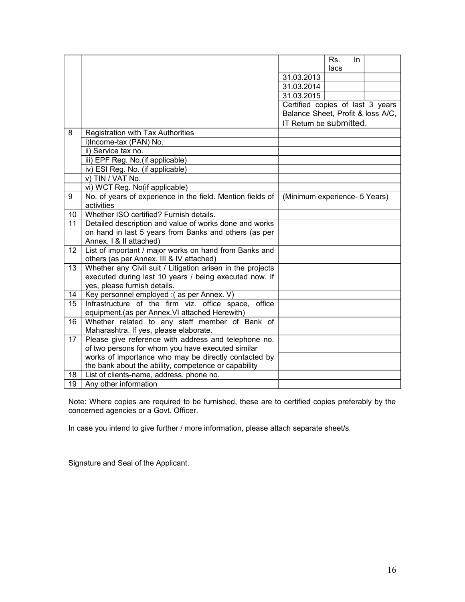|    |                                                                                                  |                                   | Rs.  | In. |  |
|----|--------------------------------------------------------------------------------------------------|-----------------------------------|------|-----|--|
|    |                                                                                                  |                                   | lacs |     |  |
|    |                                                                                                  | 31.03.2013                        |      |     |  |
|    |                                                                                                  | 31.03.2014                        |      |     |  |
|    |                                                                                                  | 31.03.2015                        |      |     |  |
|    |                                                                                                  | Certified copies of last 3 years  |      |     |  |
|    |                                                                                                  | Balance Sheet, Profit & loss A/C, |      |     |  |
|    |                                                                                                  | IT Return be submitted.           |      |     |  |
| 8  | Registration with Tax Authorities                                                                |                                   |      |     |  |
|    | i)Income-tax (PAN) No.                                                                           |                                   |      |     |  |
|    | ii) Service tax no.                                                                              |                                   |      |     |  |
|    | iii) EPF Reg. No.(if applicable)                                                                 |                                   |      |     |  |
|    | iv) ESI Reg. No. (if applicable)                                                                 |                                   |      |     |  |
|    | v) TIN / VAT No.                                                                                 |                                   |      |     |  |
|    | vi) WCT Reg. No(if applicable)                                                                   |                                   |      |     |  |
| 9  | No. of years of experience in the field. Mention fields of                                       | (Minimum experience- 5 Years)     |      |     |  |
|    | activities                                                                                       |                                   |      |     |  |
| 10 | Whether ISO certified? Furnish details.                                                          |                                   |      |     |  |
| 11 | Detailed description and value of works done and works                                           |                                   |      |     |  |
|    | on hand in last 5 years from Banks and others (as per                                            |                                   |      |     |  |
|    | Annex. I & II attached)                                                                          |                                   |      |     |  |
| 12 | List of important / major works on hand from Banks and                                           |                                   |      |     |  |
|    | others (as per Annex. III & IV attached)                                                         |                                   |      |     |  |
| 13 | Whether any Civil suit / Litigation arisen in the projects                                       |                                   |      |     |  |
|    | executed during last 10 years / being executed now. If                                           |                                   |      |     |  |
|    | yes, please furnish details.                                                                     |                                   |      |     |  |
| 14 | Key personnel employed :( as per Annex. V)                                                       |                                   |      |     |  |
| 15 | Infrastructure of the firm viz. office space, office                                             |                                   |      |     |  |
|    | equipment.(as per Annex. VI attached Herewith)                                                   |                                   |      |     |  |
| 16 | Whether related to any staff member of Bank of                                                   |                                   |      |     |  |
| 17 | Maharashtra. If yes, please elaborate.<br>Please give reference with address and telephone no.   |                                   |      |     |  |
|    | of two persons for whom you have executed similar                                                |                                   |      |     |  |
|    | works of importance who may be directly contacted by                                             |                                   |      |     |  |
|    |                                                                                                  |                                   |      |     |  |
|    |                                                                                                  |                                   |      |     |  |
| 18 | the bank about the ability, competence or capability<br>List of clients-name, address, phone no. |                                   |      |     |  |

Note: Where copies are required to be furnished, these are to certified copies preferably by the concerned agencies or a Govt. Officer.

In case you intend to give further / more information, please attach separate sheet/s.

Signature and Seal of the Applicant.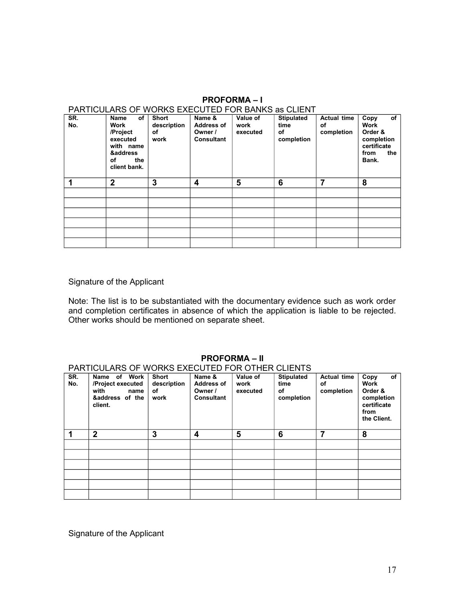| ו הווויוסטבהולט טו "זיטולולט באבטט ובט"ו טול טהויוט מס טבובויו<br>SR. | Name<br>of            | <b>Short</b> | Name &            | Value of | <b>Stipulated</b> | <b>Actual time</b> | of<br>Copy                |
|-----------------------------------------------------------------------|-----------------------|--------------|-------------------|----------|-------------------|--------------------|---------------------------|
| No.                                                                   | Work                  | description  | <b>Address of</b> | work     | time              | οf                 | <b>Work</b>               |
|                                                                       | /Project              | оf           | Owner /           | executed | оf                | completion         | Order &                   |
|                                                                       |                       |              |                   |          |                   |                    |                           |
|                                                                       | executed<br>with name | work         | <b>Consultant</b> |          | completion        |                    | completion<br>certificate |
|                                                                       |                       |              |                   |          |                   |                    |                           |
|                                                                       | &address<br>οf<br>the |              |                   |          |                   |                    | from<br>the<br>Bank.      |
|                                                                       | client bank.          |              |                   |          |                   |                    |                           |
|                                                                       |                       |              |                   |          |                   |                    |                           |
|                                                                       |                       |              |                   |          |                   |                    |                           |
|                                                                       | $\mathbf{2}$          | 3            | 4                 | 5        | 6                 | 7                  | 8                         |
|                                                                       |                       |              |                   |          |                   |                    |                           |
|                                                                       |                       |              |                   |          |                   |                    |                           |
|                                                                       |                       |              |                   |          |                   |                    |                           |
|                                                                       |                       |              |                   |          |                   |                    |                           |
|                                                                       |                       |              |                   |          |                   |                    |                           |
|                                                                       |                       |              |                   |          |                   |                    |                           |

### **PROFORMA – I** PARTICULARS OF WORKS EXECUTED FOR BANKS as CLIENT

Signature of the Applicant

Note: The list is to be substantiated with the documentary evidence such as work order and completion certificates in absence of which the application is liable to be rejected. Other works should be mentioned on separate sheet.

### **PROFORMA – II**

### PARTICULARS OF WORKS EXECUTED FOR OTHER CLIENTS

| SR.<br>No. | Work<br>Name<br>of<br>/Project executed<br>with<br>name<br>&address of the<br>client. | <b>Short</b><br>description<br>οf<br>work | Name &<br><b>Address of</b><br>Owner /<br><b>Consultant</b> | Value of<br>work<br>executed | <b>Stipulated</b><br>time<br>οf<br>completion | <b>Actual time</b><br>οf<br>completion | of<br>Copy<br>Work<br>Order &<br>completion<br>certificate<br>from<br>the Client. |
|------------|---------------------------------------------------------------------------------------|-------------------------------------------|-------------------------------------------------------------|------------------------------|-----------------------------------------------|----------------------------------------|-----------------------------------------------------------------------------------|
| 1          | $\overline{2}$                                                                        | 3                                         | 4                                                           | 5                            | 6                                             | 7                                      | 8                                                                                 |
|            |                                                                                       |                                           |                                                             |                              |                                               |                                        |                                                                                   |
|            |                                                                                       |                                           |                                                             |                              |                                               |                                        |                                                                                   |
|            |                                                                                       |                                           |                                                             |                              |                                               |                                        |                                                                                   |
|            |                                                                                       |                                           |                                                             |                              |                                               |                                        |                                                                                   |
|            |                                                                                       |                                           |                                                             |                              |                                               |                                        |                                                                                   |
|            |                                                                                       |                                           |                                                             |                              |                                               |                                        |                                                                                   |

Signature of the Applicant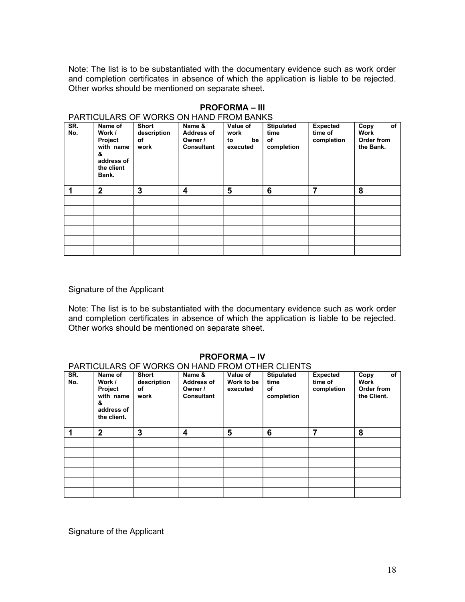Note: The list is to be substantiated with the documentary evidence such as work order and completion certificates in absence of which the application is liable to be rejected. Other works should be mentioned on separate sheet.

|     |                                   | <u>FANTIUULANS UF WUNNS UN HAND FNUM DANNS</u> |                              |                      |                   |                 |                         |
|-----|-----------------------------------|------------------------------------------------|------------------------------|----------------------|-------------------|-----------------|-------------------------|
| SR. | Name of                           | Short                                          | Name &                       | Value of             | <b>Stipulated</b> | <b>Expected</b> | of<br>Copy              |
| No. | Work /                            | description                                    | <b>Address of</b>            | work                 | time              | time of         | Work                    |
|     | Project<br>with name<br>&         | οf<br>work                                     | Owner /<br><b>Consultant</b> | be<br>to<br>executed | of<br>completion  | completion      | Order from<br>the Bank. |
|     | address of<br>the client<br>Bank. |                                                |                              |                      |                   |                 |                         |
| 1   | $\mathbf{2}$                      | 3                                              | 4                            | 5                    | 6                 | 7               | 8                       |
|     |                                   |                                                |                              |                      |                   |                 |                         |
|     |                                   |                                                |                              |                      |                   |                 |                         |
|     |                                   |                                                |                              |                      |                   |                 |                         |
|     |                                   |                                                |                              |                      |                   |                 |                         |
|     |                                   |                                                |                              |                      |                   |                 |                         |
|     |                                   |                                                |                              |                      |                   |                 |                         |

### **PROFORMA – III**

### PARTICULARS OF WORKS ON HAND FROM BANKS

### Signature of the Applicant

Note: The list is to be substantiated with the documentary evidence such as work order and completion certificates in absence of which the application is liable to be rejected. Other works should be mentioned on separate sheet.

### **PROFORMA – IV**

### PARTICULARS OF WORKS ON HAND FROM OTHER CLIENTS

| SR.<br>No. | Name of<br>Work /<br>Project<br>with name<br>&<br>address of<br>the client. | Short<br>description<br>оf<br>work | Name &<br><b>Address of</b><br>Owner /<br><b>Consultant</b> | Value of<br>Work to be<br>executed | <b>Stipulated</b><br>time<br>of<br>completion | <b>Expected</b><br>time of<br>completion | of<br>Copy<br><b>Work</b><br>Order from<br>the Client. |
|------------|-----------------------------------------------------------------------------|------------------------------------|-------------------------------------------------------------|------------------------------------|-----------------------------------------------|------------------------------------------|--------------------------------------------------------|
| 1          | $\mathbf{2}$                                                                | 3                                  | 4                                                           | 5                                  | 6                                             | 7                                        | 8                                                      |
|            |                                                                             |                                    |                                                             |                                    |                                               |                                          |                                                        |
|            |                                                                             |                                    |                                                             |                                    |                                               |                                          |                                                        |
|            |                                                                             |                                    |                                                             |                                    |                                               |                                          |                                                        |
|            |                                                                             |                                    |                                                             |                                    |                                               |                                          |                                                        |
|            |                                                                             |                                    |                                                             |                                    |                                               |                                          |                                                        |
|            |                                                                             |                                    |                                                             |                                    |                                               |                                          |                                                        |

Signature of the Applicant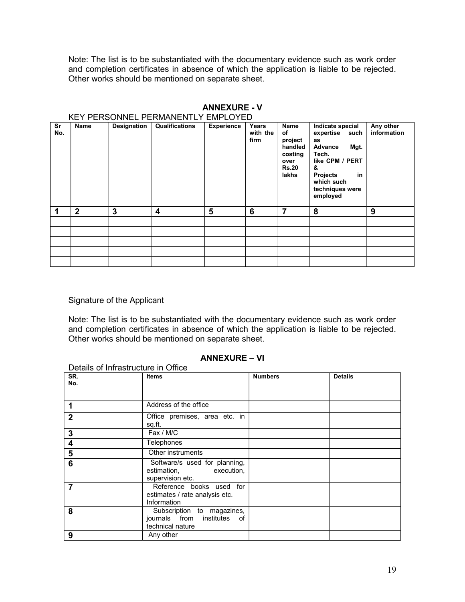Note: The list is to be substantiated with the documentary evidence such as work order and completion certificates in absence of which the application is liable to be rejected. Other works should be mentioned on separate sheet.

|           |                |             | KEY PERSONNEL PERMANENTLY EMPLOYED |                   |                           |                                                                              |                                                                                                                                                                       |                          |
|-----------|----------------|-------------|------------------------------------|-------------------|---------------------------|------------------------------------------------------------------------------|-----------------------------------------------------------------------------------------------------------------------------------------------------------------------|--------------------------|
| Sr<br>No. | <b>Name</b>    | Designation | Qualifications                     | <b>Experience</b> | Years<br>with the<br>firm | Name<br>of<br>project<br>handled<br>costing<br>over<br><b>Rs.20</b><br>lakhs | Indicate special<br>expertise<br>such<br>as<br>Advance<br>Mgt.<br>Tech.<br>like CPM / PERT<br>&<br><b>Projects</b><br>in<br>which such<br>techniques were<br>employed | Any other<br>information |
|           | $\overline{2}$ | 3           | 4                                  | 5                 | 6                         | 7                                                                            | 8                                                                                                                                                                     | 9                        |
|           |                |             |                                    |                   |                           |                                                                              |                                                                                                                                                                       |                          |
|           |                |             |                                    |                   |                           |                                                                              |                                                                                                                                                                       |                          |
|           |                |             |                                    |                   |                           |                                                                              |                                                                                                                                                                       |                          |
|           |                |             |                                    |                   |                           |                                                                              |                                                                                                                                                                       |                          |
|           |                |             |                                    |                   |                           |                                                                              |                                                                                                                                                                       |                          |

## **ANNEXURE - V**

### Signature of the Applicant

Note: The list is to be substantiated with the documentary evidence such as work order and completion certificates in absence of which the application is liable to be rejected. Other works should be mentioned on separate sheet.

### **ANNEXURE – VI**

| Details of Infrastructure in Office |                                                                                  |                |                |
|-------------------------------------|----------------------------------------------------------------------------------|----------------|----------------|
| SR.<br>No.                          | <b>Items</b>                                                                     | <b>Numbers</b> | <b>Details</b> |
| 1                                   | Address of the office                                                            |                |                |
| $\mathbf{2}$                        | Office premises, area etc. in<br>sq.ft.                                          |                |                |
| 3                                   | Fax / M/C                                                                        |                |                |
| 4                                   | Telephones                                                                       |                |                |
| 5                                   | Other instruments                                                                |                |                |
| 6                                   | Software/s used for planning,<br>estimation,<br>execution,<br>supervision etc.   |                |                |
| 7                                   | Reference books used for<br>estimates / rate analysis etc.<br>Information        |                |                |
| 8                                   | Subscription to magazines,<br>journals from institutes<br>of<br>technical nature |                |                |
| 9                                   | Any other                                                                        |                |                |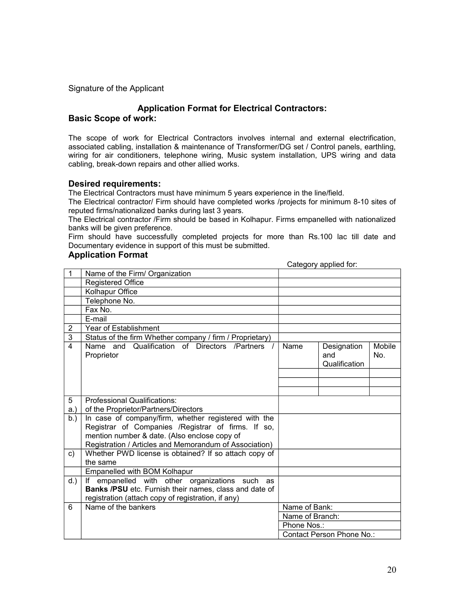### **Application Format for Electrical Contractors: Basic Scope of work:**

The scope of work for Electrical Contractors involves internal and external electrification, associated cabling, installation & maintenance of Transformer/DG set / Control panels, earthling, wiring for air conditioners, telephone wiring, Music system installation, UPS wiring and data cabling, break-down repairs and other allied works.

### **Desired requirements:**

The Electrical Contractors must have minimum 5 years experience in the line/field.

The Electrical contractor/ Firm should have completed works /projects for minimum 8-10 sites of reputed firms/nationalized banks during last 3 years.

The Electrical contractor /Firm should be based in Kolhapur. Firms empanelled with nationalized banks will be given preference.

Firm should have successfully completed projects for more than Rs.100 lac till date and Documentary evidence in support of this must be submitted.

### **Application Format**

Category applied for:

| 1              | Name of the Firm/ Organization                                            |                 |                                     |               |
|----------------|---------------------------------------------------------------------------|-----------------|-------------------------------------|---------------|
|                | <b>Registered Office</b>                                                  |                 |                                     |               |
|                | Kolhapur Office                                                           |                 |                                     |               |
|                | Telephone No.                                                             |                 |                                     |               |
|                | Fax No.                                                                   |                 |                                     |               |
|                | E-mail                                                                    |                 |                                     |               |
| $\overline{2}$ | <b>Year of Establishment</b>                                              |                 |                                     |               |
| $\overline{3}$ | Status of the firm Whether company / firm / Proprietary)                  |                 |                                     |               |
| $\overline{4}$ | Name and Qualification of Directors /Partners<br>Proprietor               | Name            | Designation<br>and<br>Qualification | Mobile<br>No. |
|                |                                                                           |                 |                                     |               |
|                |                                                                           |                 |                                     |               |
|                |                                                                           |                 |                                     |               |
| 5              | Professional Qualifications:                                              |                 |                                     |               |
| a.             | of the Proprietor/Partners/Directors                                      |                 |                                     |               |
| b.             | In case of company/firm, whether registered with the                      |                 |                                     |               |
|                | Registrar of Companies /Registrar of firms. If so,                        |                 |                                     |               |
|                | mention number & date. (Also enclose copy of                              |                 |                                     |               |
|                | Registration / Articles and Memorandum of Association)                    |                 |                                     |               |
| c)             | Whether PWD license is obtained? If so attach copy of                     |                 |                                     |               |
|                | the same                                                                  |                 |                                     |               |
|                | Empanelled with BOM Kolhapur                                              |                 |                                     |               |
| $d.$ )         | empanelled with other organizations such<br>as                            |                 |                                     |               |
|                | Banks /PSU etc. Furnish their names, class and date of                    |                 |                                     |               |
| 6              | registration (attach copy of registration, if any)<br>Name of the bankers | Name of Bank:   |                                     |               |
|                |                                                                           |                 |                                     |               |
|                |                                                                           | Name of Branch: |                                     |               |
|                |                                                                           | Phone Nos.:     |                                     |               |
|                |                                                                           |                 | Contact Person Phone No.:           |               |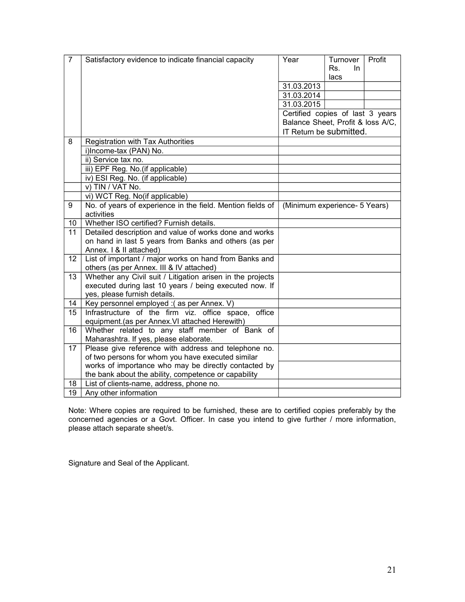| $\overline{7}$  | Satisfactory evidence to indicate financial capacity                                           | Year                              | Turnover   | Profit |
|-----------------|------------------------------------------------------------------------------------------------|-----------------------------------|------------|--------|
|                 |                                                                                                |                                   | Rs.<br>In. |        |
|                 |                                                                                                |                                   | lacs       |        |
|                 |                                                                                                | 31.03.2013                        |            |        |
|                 |                                                                                                | 31.03.2014                        |            |        |
|                 |                                                                                                | 31.03.2015                        |            |        |
|                 |                                                                                                | Certified copies of last 3 years  |            |        |
|                 |                                                                                                | Balance Sheet, Profit & loss A/C, |            |        |
|                 |                                                                                                | IT Return be submitted.           |            |        |
| 8               | Registration with Tax Authorities                                                              |                                   |            |        |
|                 | i)Income-tax (PAN) No.                                                                         |                                   |            |        |
|                 | ii) Service tax no.                                                                            |                                   |            |        |
|                 | iii) EPF Reg. No. (if applicable)                                                              |                                   |            |        |
|                 | iv) ESI Reg. No. (if applicable)                                                               |                                   |            |        |
|                 | v) TIN / VAT No.                                                                               |                                   |            |        |
|                 | vi) WCT Reg. No(if applicable)                                                                 |                                   |            |        |
| 9               | No. of years of experience in the field. Mention fields of                                     | (Minimum experience- 5 Years)     |            |        |
|                 | activities                                                                                     |                                   |            |        |
| 10              | Whether ISO certified? Furnish details.                                                        |                                   |            |        |
| 11              | Detailed description and value of works done and works                                         |                                   |            |        |
|                 | on hand in last 5 years from Banks and others (as per                                          |                                   |            |        |
|                 | Annex. I & II attached)                                                                        |                                   |            |        |
| 12              | List of important / major works on hand from Banks and                                         |                                   |            |        |
|                 | others (as per Annex. III & IV attached)                                                       |                                   |            |        |
| 13              | Whether any Civil suit / Litigation arisen in the projects                                     |                                   |            |        |
|                 | executed during last 10 years / being executed now. If                                         |                                   |            |        |
|                 | yes, please furnish details.                                                                   |                                   |            |        |
| 14              | Key personnel employed :(as per Annex. V)                                                      |                                   |            |        |
| 15              | Infrastructure of the firm viz. office space,<br>office                                        |                                   |            |        |
|                 | equipment.(as per Annex. VI attached Herewith)                                                 |                                   |            |        |
| 16              | Whether related to any staff member of Bank of                                                 |                                   |            |        |
| 17              | Maharashtra. If yes, please elaborate.<br>Please give reference with address and telephone no. |                                   |            |        |
|                 | of two persons for whom you have executed similar                                              |                                   |            |        |
|                 | works of importance who may be directly contacted by                                           |                                   |            |        |
|                 | the bank about the ability, competence or capability                                           |                                   |            |        |
| 18              | List of clients-name, address, phone no.                                                       |                                   |            |        |
| $\overline{19}$ | Any other information                                                                          |                                   |            |        |
|                 |                                                                                                |                                   |            |        |

Note: Where copies are required to be furnished, these are to certified copies preferably by the concerned agencies or a Govt. Officer. In case you intend to give further / more information, please attach separate sheet/s.

Signature and Seal of the Applicant.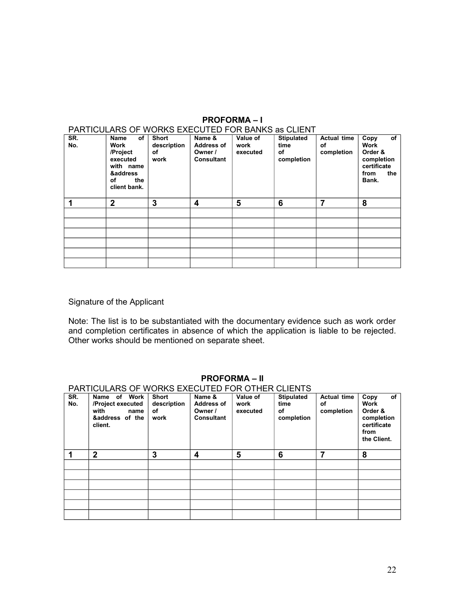### **PROFORMA – I**

|            | PARTICULARS OF WORKS EXECUTED FOR BANKS as CLIENT                                                |                                           |                                                             |                              |                                               |                                        |                                                                                    |  |  |
|------------|--------------------------------------------------------------------------------------------------|-------------------------------------------|-------------------------------------------------------------|------------------------------|-----------------------------------------------|----------------------------------------|------------------------------------------------------------------------------------|--|--|
| SR.<br>No. | of<br>Name<br>Work<br>/Project<br>executed<br>with name<br>&address<br>οf<br>the<br>client bank. | <b>Short</b><br>description<br>οf<br>work | Name &<br><b>Address of</b><br>Owner /<br><b>Consultant</b> | Value of<br>work<br>executed | <b>Stipulated</b><br>time<br>οf<br>completion | <b>Actual time</b><br>оf<br>completion | of<br>Copy<br>Work<br>Order &<br>completion<br>certificate<br>the<br>from<br>Bank. |  |  |
| 1          | $\mathbf 2$                                                                                      | 3                                         | 4                                                           | 5                            | 6                                             | 7                                      | 8                                                                                  |  |  |
|            |                                                                                                  |                                           |                                                             |                              |                                               |                                        |                                                                                    |  |  |
|            |                                                                                                  |                                           |                                                             |                              |                                               |                                        |                                                                                    |  |  |
|            |                                                                                                  |                                           |                                                             |                              |                                               |                                        |                                                                                    |  |  |
|            |                                                                                                  |                                           |                                                             |                              |                                               |                                        |                                                                                    |  |  |
|            |                                                                                                  |                                           |                                                             |                              |                                               |                                        |                                                                                    |  |  |
|            |                                                                                                  |                                           |                                                             |                              |                                               |                                        |                                                                                    |  |  |

### Signature of the Applicant

Note: The list is to be substantiated with the documentary evidence such as work order and completion certificates in absence of which the application is liable to be rejected. Other works should be mentioned on separate sheet.

|            |                                                                                    |                                           | $\sim$ $\sim$ $\sim$ $\sim$ $\sim$ $\sim$                   |                              |                                               |                                        |                                                                                   |
|------------|------------------------------------------------------------------------------------|-------------------------------------------|-------------------------------------------------------------|------------------------------|-----------------------------------------------|----------------------------------------|-----------------------------------------------------------------------------------|
|            | PARTICULARS OF WORKS EXECUTED FOR OTHER CLIENTS                                    |                                           |                                                             |                              |                                               |                                        |                                                                                   |
| SR.<br>No. | Work<br>Name of<br>/Project executed<br>with<br>name<br>&address of the<br>client. | <b>Short</b><br>description<br>оf<br>work | Name &<br><b>Address of</b><br>Owner /<br><b>Consultant</b> | Value of<br>work<br>executed | <b>Stipulated</b><br>time<br>οf<br>completion | <b>Actual time</b><br>оf<br>completion | of<br>Copy<br>Work<br>Order &<br>completion<br>certificate<br>from<br>the Client. |
| 1          | $\mathbf{2}$                                                                       | 3                                         | 4                                                           | 5                            | 6                                             | 7                                      | 8                                                                                 |
|            |                                                                                    |                                           |                                                             |                              |                                               |                                        |                                                                                   |
|            |                                                                                    |                                           |                                                             |                              |                                               |                                        |                                                                                   |
|            |                                                                                    |                                           |                                                             |                              |                                               |                                        |                                                                                   |
|            |                                                                                    |                                           |                                                             |                              |                                               |                                        |                                                                                   |
|            |                                                                                    |                                           |                                                             |                              |                                               |                                        |                                                                                   |
|            |                                                                                    |                                           |                                                             |                              |                                               |                                        |                                                                                   |

### **PROFORMA – II**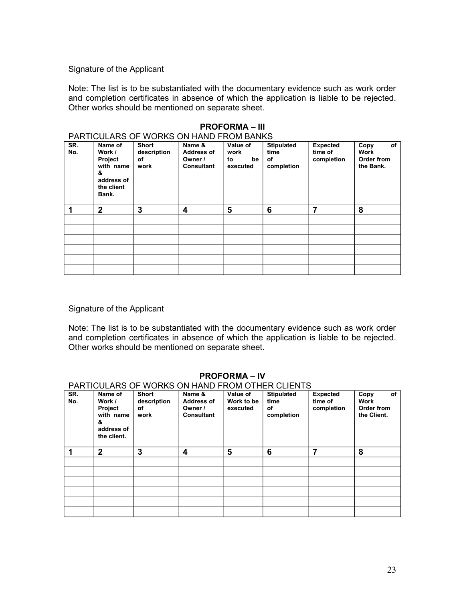Note: The list is to be substantiated with the documentary evidence such as work order and completion certificates in absence of which the application is liable to be rejected. Other works should be mentioned on separate sheet.

|            | PARTICULARS OF WORKS ON HAND FROM BANKS                                             |                                           |                                                      |                                          |                                               |                                          |                                               |  |  |  |  |
|------------|-------------------------------------------------------------------------------------|-------------------------------------------|------------------------------------------------------|------------------------------------------|-----------------------------------------------|------------------------------------------|-----------------------------------------------|--|--|--|--|
| SR.<br>No. | Name of<br>Work /<br>Project<br>with name<br>&<br>address of<br>the client<br>Bank. | <b>Short</b><br>description<br>οf<br>work | Name &<br>Address of<br>Owner /<br><b>Consultant</b> | Value of<br>work<br>be<br>to<br>executed | <b>Stipulated</b><br>time<br>of<br>completion | <b>Expected</b><br>time of<br>completion | of<br>Copy<br>Work<br>Order from<br>the Bank. |  |  |  |  |
| 1          | $\mathbf{2}$                                                                        | 3                                         | 4                                                    | 5                                        | 6                                             | 7                                        | 8                                             |  |  |  |  |
|            |                                                                                     |                                           |                                                      |                                          |                                               |                                          |                                               |  |  |  |  |
|            |                                                                                     |                                           |                                                      |                                          |                                               |                                          |                                               |  |  |  |  |
|            |                                                                                     |                                           |                                                      |                                          |                                               |                                          |                                               |  |  |  |  |
|            |                                                                                     |                                           |                                                      |                                          |                                               |                                          |                                               |  |  |  |  |
|            |                                                                                     |                                           |                                                      |                                          |                                               |                                          |                                               |  |  |  |  |
|            |                                                                                     |                                           |                                                      |                                          |                                               |                                          |                                               |  |  |  |  |

### **PROFORMA – III**

### Signature of the Applicant

Note: The list is to be substantiated with the documentary evidence such as work order and completion certificates in absence of which the application is liable to be rejected. Other works should be mentioned on separate sheet.

|            |                                                                             |                                           |                                                             |                                    | PARTICULARS OF WORKS ON HAND FROM OTHER CLIENTS |                                          |                                                 |
|------------|-----------------------------------------------------------------------------|-------------------------------------------|-------------------------------------------------------------|------------------------------------|-------------------------------------------------|------------------------------------------|-------------------------------------------------|
| SR.<br>No. | Name of<br>Work /<br>Project<br>with name<br>&<br>address of<br>the client. | <b>Short</b><br>description<br>оf<br>work | Name &<br><b>Address of</b><br>Owner /<br><b>Consultant</b> | Value of<br>Work to be<br>executed | <b>Stipulated</b><br>time<br>οf<br>completion   | <b>Expected</b><br>time of<br>completion | of<br>Copy<br>Work<br>Order from<br>the Client. |
| 1          | $\overline{2}$                                                              | 3                                         | 4                                                           | 5                                  | 6                                               | 7                                        | 8                                               |
|            |                                                                             |                                           |                                                             |                                    |                                                 |                                          |                                                 |
|            |                                                                             |                                           |                                                             |                                    |                                                 |                                          |                                                 |
|            |                                                                             |                                           |                                                             |                                    |                                                 |                                          |                                                 |
|            |                                                                             |                                           |                                                             |                                    |                                                 |                                          |                                                 |
|            |                                                                             |                                           |                                                             |                                    |                                                 |                                          |                                                 |
|            |                                                                             |                                           |                                                             |                                    |                                                 |                                          |                                                 |

### **PROFORMA – IV**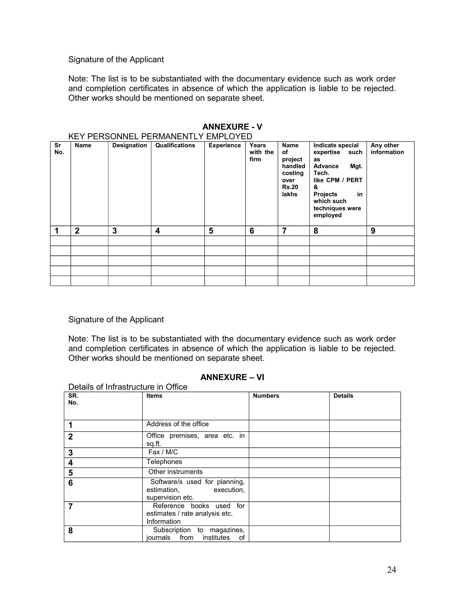Note: The list is to be substantiated with the documentary evidence such as work order and completion certificates in absence of which the application is liable to be rejected. Other works should be mentioned on separate sheet.

| Sr<br>No. | <b>Name</b>      | Designation | NET FENSUNNEL FENMANENTET EMFLUTED<br>Qualifications | <b>Experience</b> | Years<br>with the<br>firm | Name<br>of<br>project<br>handled<br>costing<br>over<br><b>Rs.20</b><br>lakhs | Indicate special<br>expertise<br>such<br>as<br>Advance<br>Mgt.<br>Tech.<br>like CPM / PERT<br>&<br><b>Projects</b><br>in | Any other<br>information |
|-----------|------------------|-------------|------------------------------------------------------|-------------------|---------------------------|------------------------------------------------------------------------------|--------------------------------------------------------------------------------------------------------------------------|--------------------------|
|           |                  |             |                                                      |                   |                           |                                                                              | which such<br>techniques were<br>employed                                                                                |                          |
|           | $\boldsymbol{2}$ | 3           | 4                                                    | 5                 | 6                         | 7                                                                            | 8                                                                                                                        | 9                        |
|           |                  |             |                                                      |                   |                           |                                                                              |                                                                                                                          |                          |
|           |                  |             |                                                      |                   |                           |                                                                              |                                                                                                                          |                          |
|           |                  |             |                                                      |                   |                           |                                                                              |                                                                                                                          |                          |
|           |                  |             |                                                      |                   |                           |                                                                              |                                                                                                                          |                          |
|           |                  |             |                                                      |                   |                           |                                                                              |                                                                                                                          |                          |

#### **ANNEXURE - V** KEY PERSONNEL PERMANENTLY EMPLOYED

### Signature of the Applicant

Note: The list is to be substantiated with the documentary evidence such as work order and completion certificates in absence of which the application is liable to be rejected. Other works should be mentioned on separate sheet.

### **ANNEXURE – VI**

| Details of Infrastructure in Office |                                                                                |                |                |  |  |  |  |  |
|-------------------------------------|--------------------------------------------------------------------------------|----------------|----------------|--|--|--|--|--|
| SR.<br>No.                          | Items                                                                          | <b>Numbers</b> | <b>Details</b> |  |  |  |  |  |
| 1                                   | Address of the office                                                          |                |                |  |  |  |  |  |
| $\mathbf{2}$                        | Office premises, area etc. in<br>sq.ft.                                        |                |                |  |  |  |  |  |
| 3                                   | Fax / M/C                                                                      |                |                |  |  |  |  |  |
| 4                                   | Telephones                                                                     |                |                |  |  |  |  |  |
| 5                                   | Other instruments                                                              |                |                |  |  |  |  |  |
| 6                                   | Software/s used for planning,<br>estimation,<br>execution,<br>supervision etc. |                |                |  |  |  |  |  |
| 7                                   | Reference books used for<br>estimates / rate analysis etc.<br>Information      |                |                |  |  |  |  |  |
| 8                                   | Subscription to magazines,<br>from institutes<br>iournals<br>οf                |                |                |  |  |  |  |  |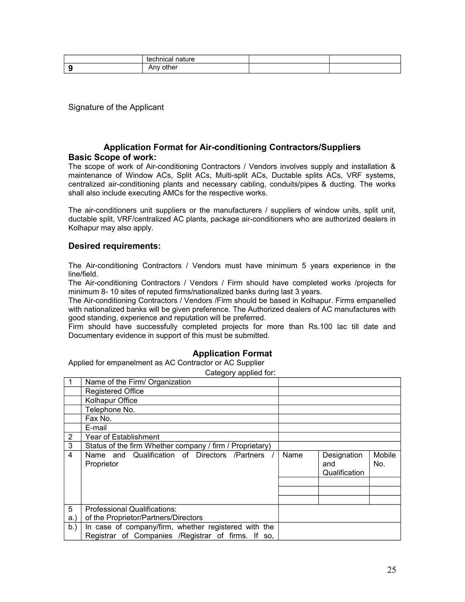| technical<br>.<br>nature    |  |
|-----------------------------|--|
| other<br>$\Delta$ m<br>AIIV |  |

### **Application Format for Air-conditioning Contractors/Suppliers Basic Scope of work:**

The scope of work of Air-conditioning Contractors / Vendors involves supply and installation & maintenance of Window ACs, Split ACs, Multi-split ACs, Ductable splits ACs, VRF systems, centralized air-conditioning plants and necessary cabling, conduits/pipes & ducting. The works shall also include executing AMCs for the respective works.

The air-conditioners unit suppliers or the manufacturers / suppliers of window units, split unit, ductable split, VRF/centralized AC plants, package air-conditioners who are authorized dealers in Kolhapur may also apply.

### **Desired requirements:**

The Air-conditioning Contractors / Vendors must have minimum 5 years experience in the line/field.

The Air-conditioning Contractors / Vendors / Firm should have completed works /projects for minimum 8- 10 sites of reputed firms/nationalized banks during last 3 years.

The Air-conditioning Contractors / Vendors /Firm should be based in Kolhapur. Firms empanelled with nationalized banks will be given preference. The Authorized dealers of AC manufactures with good standing, experience and reputation will be preferred.

Firm should have successfully completed projects for more than Rs.100 lac till date and Documentary evidence in support of this must be submitted.

### **Application Format**

Applied for empanelment as AC Contractor or AC Supplier

Category applied for:

|     | Name of the Firm/ Organization                           |      |               |        |
|-----|----------------------------------------------------------|------|---------------|--------|
|     | <b>Registered Office</b>                                 |      |               |        |
|     | Kolhapur Office                                          |      |               |        |
|     | Telephone No.                                            |      |               |        |
|     | Fax No.                                                  |      |               |        |
|     | E-mail                                                   |      |               |        |
| 2   | Year of Establishment                                    |      |               |        |
| 3   | Status of the firm Whether company / firm / Proprietary) |      |               |        |
| 4   | Name and Qualification of Directors /Partners /          | Name | Designation   | Mobile |
|     | Proprietor                                               |      | and           | No.    |
|     |                                                          |      | Qualification |        |
|     |                                                          |      |               |        |
|     |                                                          |      |               |        |
|     |                                                          |      |               |        |
| 5   | <b>Professional Qualifications:</b>                      |      |               |        |
| a.) | of the Proprietor/Partners/Directors                     |      |               |        |
| b.  | In case of company/firm, whether registered with the     |      |               |        |
|     | Registrar of Companies /Registrar of firms. If so,       |      |               |        |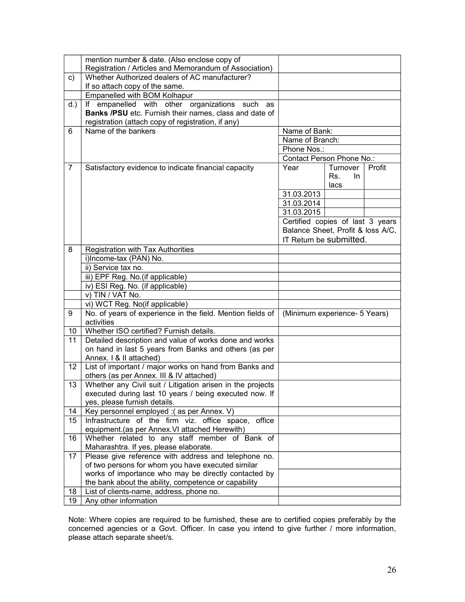|                | mention number & date. (Also enclose copy of                                             |                                   |           |        |
|----------------|------------------------------------------------------------------------------------------|-----------------------------------|-----------|--------|
|                | Registration / Articles and Memorandum of Association)                                   |                                   |           |        |
| C)             | Whether Authorized dealers of AC manufacturer?                                           |                                   |           |        |
|                | If so attach copy of the same.                                                           |                                   |           |        |
|                | Empanelled with BOM Kolhapur                                                             |                                   |           |        |
| $d.$ )         | If empanelled with other organizations<br>such<br>as                                     |                                   |           |        |
|                | Banks /PSU etc. Furnish their names, class and date of                                   |                                   |           |        |
|                | registration (attach copy of registration, if any)                                       |                                   |           |        |
| 6              | Name of the bankers                                                                      | Name of Bank:                     |           |        |
|                |                                                                                          | Name of Branch:                   |           |        |
|                |                                                                                          | Phone Nos.:                       |           |        |
|                |                                                                                          | Contact Person Phone No.:         |           |        |
| $\overline{7}$ | Satisfactory evidence to indicate financial capacity                                     | Year                              | Turnover  | Profit |
|                |                                                                                          |                                   | Rs.<br>In |        |
|                |                                                                                          |                                   | lacs      |        |
|                |                                                                                          | 31.03.2013                        |           |        |
|                |                                                                                          | 31.03.2014                        |           |        |
|                |                                                                                          | 31.03.2015                        |           |        |
|                |                                                                                          | Certified copies of last 3 years  |           |        |
|                |                                                                                          | Balance Sheet, Profit & loss A/C, |           |        |
|                |                                                                                          | IT Return be submitted.           |           |        |
| 8              | Registration with Tax Authorities                                                        |                                   |           |        |
|                | i)Income-tax (PAN) No.                                                                   |                                   |           |        |
|                | ii) Service tax no.                                                                      |                                   |           |        |
|                | iii) EPF Reg. No.(if applicable)                                                         |                                   |           |        |
|                | iv) ESI Reg. No. (if applicable)                                                         |                                   |           |        |
|                | v) TIN / VAT No.                                                                         |                                   |           |        |
|                | vi) WCT Reg. No(if applicable)                                                           |                                   |           |        |
| 9              | No. of years of experience in the field. Mention fields of                               | (Minimum experience- 5 Years)     |           |        |
|                | activities                                                                               |                                   |           |        |
| 10             | Whether ISO certified? Furnish details.                                                  |                                   |           |        |
| 11             | Detailed description and value of works done and works                                   |                                   |           |        |
|                | on hand in last 5 years from Banks and others (as per                                    |                                   |           |        |
|                | Annex. I & II attached)                                                                  |                                   |           |        |
| 12             | List of important / major works on hand from Banks and                                   |                                   |           |        |
|                | others (as per Annex. III & IV attached)                                                 |                                   |           |        |
| 13             | Whether any Civil suit / Litigation arisen in the projects                               |                                   |           |        |
|                | executed during last 10 years / being executed now. If                                   |                                   |           |        |
|                | yes, please furnish details.                                                             |                                   |           |        |
| 14             | Key personnel employed : (as per Annex. V)                                               |                                   |           |        |
| 15             | Infrastructure of the firm viz. office space, office                                     |                                   |           |        |
|                | equipment.(as per Annex. VI attached Herewith)                                           |                                   |           |        |
| 16             | Whether related to any staff member of Bank of<br>Maharashtra. If yes, please elaborate. |                                   |           |        |
| 17             | Please give reference with address and telephone no.                                     |                                   |           |        |
|                | of two persons for whom you have executed similar                                        |                                   |           |        |
|                | works of importance who may be directly contacted by                                     |                                   |           |        |
|                | the bank about the ability, competence or capability                                     |                                   |           |        |
| 18             | List of clients-name, address, phone no.                                                 |                                   |           |        |
| 19             | Any other information                                                                    |                                   |           |        |
|                |                                                                                          |                                   |           |        |

Note: Where copies are required to be furnished, these are to certified copies preferably by the concerned agencies or a Govt. Officer. In case you intend to give further / more information, please attach separate sheet/s.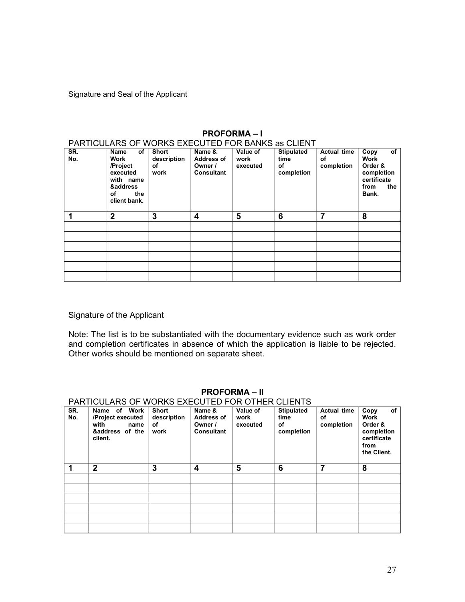Signature and Seal of the Applicant

| PARTICULARS OF WORKS EXECUTED FOR BANKS as CLIENT |                |             |                   |          |                   |                    |             |  |  |
|---------------------------------------------------|----------------|-------------|-------------------|----------|-------------------|--------------------|-------------|--|--|
| SR.                                               | of<br>Name     | Short       | Name &            | Value of | <b>Stipulated</b> | <b>Actual time</b> | of<br>Copy  |  |  |
| No.                                               | Work           | description | <b>Address of</b> | work     | time              | οf                 | <b>Work</b> |  |  |
|                                                   | /Project       | оf          | Owner /           | executed | οf                | completion         | Order &     |  |  |
|                                                   | executed       | work        | <b>Consultant</b> |          | completion        |                    | completion  |  |  |
|                                                   | with name      |             |                   |          |                   |                    | certificate |  |  |
|                                                   | &address       |             |                   |          |                   |                    | the<br>from |  |  |
|                                                   | the<br>οf      |             |                   |          |                   |                    | Bank.       |  |  |
|                                                   | client bank.   |             |                   |          |                   |                    |             |  |  |
|                                                   |                |             |                   |          |                   |                    |             |  |  |
|                                                   | $\overline{2}$ | 3           | 4                 | 5        | 6                 | 7                  | 8           |  |  |
|                                                   |                |             |                   |          |                   |                    |             |  |  |
|                                                   |                |             |                   |          |                   |                    |             |  |  |
|                                                   |                |             |                   |          |                   |                    |             |  |  |
|                                                   |                |             |                   |          |                   |                    |             |  |  |
|                                                   |                |             |                   |          |                   |                    |             |  |  |
|                                                   |                |             |                   |          |                   |                    |             |  |  |

### **PROFORMA – I**

### Signature of the Applicant

Note: The list is to be substantiated with the documentary evidence such as work order and completion certificates in absence of which the application is liable to be rejected. Other works should be mentioned on separate sheet.

|     | <u>FANTIGULANS OF WONNS EXECUTED FON OTHEN GLIENTS</u> |              |                   |          |                   |                    |             |  |  |  |
|-----|--------------------------------------------------------|--------------|-------------------|----------|-------------------|--------------------|-------------|--|--|--|
| SR. | Work<br>of<br>Name                                     | <b>Short</b> | Name &            | Value of | <b>Stipulated</b> | <b>Actual time</b> | of<br>Copy  |  |  |  |
| No. | /Project executed                                      | description  | <b>Address of</b> | work     | time              | оf                 | Work        |  |  |  |
|     | with<br>name                                           | οf           | Owner /           | executed | οf                | completion         | Order &     |  |  |  |
|     | &address of the                                        | work         | <b>Consultant</b> |          | completion        |                    | completion  |  |  |  |
|     | client.                                                |              |                   |          |                   |                    | certificate |  |  |  |
|     |                                                        |              |                   |          |                   |                    | from        |  |  |  |
|     |                                                        |              |                   |          |                   |                    | the Client. |  |  |  |
|     |                                                        |              |                   |          |                   |                    |             |  |  |  |
| и   | $\overline{2}$                                         | 3            | 4                 | 5        | 6                 | 7                  | 8           |  |  |  |
|     |                                                        |              |                   |          |                   |                    |             |  |  |  |
|     |                                                        |              |                   |          |                   |                    |             |  |  |  |
|     |                                                        |              |                   |          |                   |                    |             |  |  |  |
|     |                                                        |              |                   |          |                   |                    |             |  |  |  |
|     |                                                        |              |                   |          |                   |                    |             |  |  |  |
|     |                                                        |              |                   |          |                   |                    |             |  |  |  |
|     |                                                        |              |                   |          |                   |                    |             |  |  |  |
|     |                                                        |              |                   |          |                   |                    |             |  |  |  |
|     |                                                        |              |                   |          |                   |                    |             |  |  |  |
|     |                                                        |              |                   |          |                   |                    |             |  |  |  |

#### **PROFORMA – II** PARTICULARS OF WORKS EXECUTED FOR OTHER CLIENTS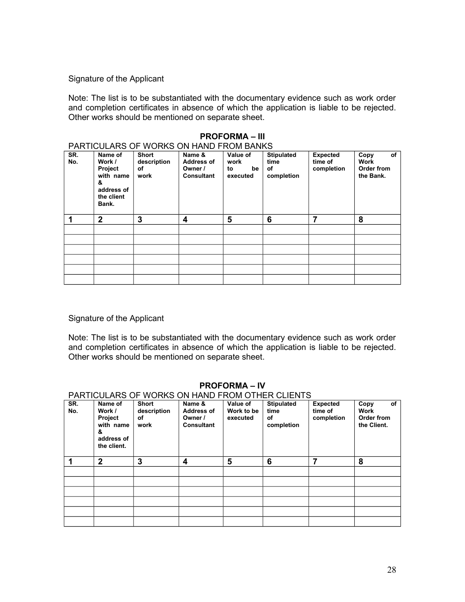Note: The list is to be substantiated with the documentary evidence such as work order and completion certificates in absence of which the application is liable to be rejected. Other works should be mentioned on separate sheet.

| <b>PROFORMA – III</b> |                                                                                     |                                    |                                                             |                                          |                                               |                                          |                                                      |  |  |  |  |
|-----------------------|-------------------------------------------------------------------------------------|------------------------------------|-------------------------------------------------------------|------------------------------------------|-----------------------------------------------|------------------------------------------|------------------------------------------------------|--|--|--|--|
|                       | PARTICULARS OF WORKS ON HAND FROM BANKS                                             |                                    |                                                             |                                          |                                               |                                          |                                                      |  |  |  |  |
| SR.<br>No.            | Name of<br>Work /<br>Project<br>with name<br>&<br>address of<br>the client<br>Bank. | Short<br>description<br>of<br>work | Name &<br><b>Address of</b><br>Owner /<br><b>Consultant</b> | Value of<br>work<br>to<br>be<br>executed | <b>Stipulated</b><br>time<br>of<br>completion | <b>Expected</b><br>time of<br>completion | of<br>Copy<br><b>Work</b><br>Order from<br>the Bank. |  |  |  |  |
| 1                     | $\overline{2}$                                                                      | 3                                  | 4                                                           | 5                                        | 6                                             | 7                                        | 8                                                    |  |  |  |  |
|                       |                                                                                     |                                    |                                                             |                                          |                                               |                                          |                                                      |  |  |  |  |
|                       |                                                                                     |                                    |                                                             |                                          |                                               |                                          |                                                      |  |  |  |  |
|                       |                                                                                     |                                    |                                                             |                                          |                                               |                                          |                                                      |  |  |  |  |
|                       |                                                                                     |                                    |                                                             |                                          |                                               |                                          |                                                      |  |  |  |  |
|                       |                                                                                     |                                    |                                                             |                                          |                                               |                                          |                                                      |  |  |  |  |
|                       |                                                                                     |                                    |                                                             |                                          |                                               |                                          |                                                      |  |  |  |  |

### Signature of the Applicant

Note: The list is to be substantiated with the documentary evidence such as work order and completion certificates in absence of which the application is liable to be rejected. Other works should be mentioned on separate sheet.

### **PROFORMA – IV**

### PARTICULARS OF WORKS ON HAND FROM OTHER CLIENTS

| SR.<br>No. | Name of<br>Work /<br>Project<br>with name<br>&<br>address of<br>the client. | <b>Short</b><br>description<br>οf<br>work | Name &<br><b>Address of</b><br>Owner /<br><b>Consultant</b> | Value of<br>Work to be<br>executed | Stipulated<br>time<br>of<br>completion | <b>Expected</b><br>time of<br>completion | of<br>Copy<br><b>Work</b><br>Order from<br>the Client. |
|------------|-----------------------------------------------------------------------------|-------------------------------------------|-------------------------------------------------------------|------------------------------------|----------------------------------------|------------------------------------------|--------------------------------------------------------|
| 1          | $\mathbf{2}$                                                                | 3                                         | 4                                                           | 5                                  | 6                                      | 7                                        | 8                                                      |
|            |                                                                             |                                           |                                                             |                                    |                                        |                                          |                                                        |
|            |                                                                             |                                           |                                                             |                                    |                                        |                                          |                                                        |
|            |                                                                             |                                           |                                                             |                                    |                                        |                                          |                                                        |
|            |                                                                             |                                           |                                                             |                                    |                                        |                                          |                                                        |
|            |                                                                             |                                           |                                                             |                                    |                                        |                                          |                                                        |
|            |                                                                             |                                           |                                                             |                                    |                                        |                                          |                                                        |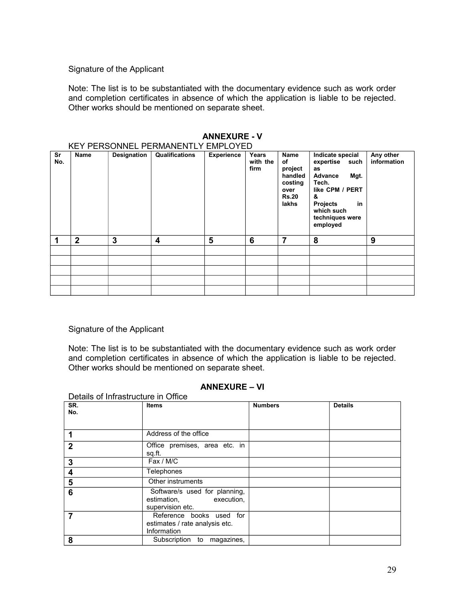Note: The list is to be substantiated with the documentary evidence such as work order and completion certificates in absence of which the application is liable to be rejected. Other works should be mentioned on separate sheet.

|           | KEY PERSONNEL PERMANENTLY EMPLOYED |             |                |                   |                           |                                                                              |                                                                                                                                                                       |                          |  |  |  |
|-----------|------------------------------------|-------------|----------------|-------------------|---------------------------|------------------------------------------------------------------------------|-----------------------------------------------------------------------------------------------------------------------------------------------------------------------|--------------------------|--|--|--|
| Sr<br>No. | <b>Name</b>                        | Designation | Qualifications | <b>Experience</b> | Years<br>with the<br>firm | Name<br>of<br>project<br>handled<br>costing<br>over<br><b>Rs.20</b><br>lakhs | Indicate special<br>expertise<br>such<br>as<br>Advance<br>Mgt.<br>Tech.<br>like CPM / PERT<br>&<br><b>Projects</b><br>in<br>which such<br>techniques were<br>employed | Any other<br>information |  |  |  |
| 1         | $\mathbf{2}$                       | 3           | 4              | 5                 | 6                         | 7                                                                            | 8                                                                                                                                                                     | 9                        |  |  |  |
|           |                                    |             |                |                   |                           |                                                                              |                                                                                                                                                                       |                          |  |  |  |
|           |                                    |             |                |                   |                           |                                                                              |                                                                                                                                                                       |                          |  |  |  |
|           |                                    |             |                |                   |                           |                                                                              |                                                                                                                                                                       |                          |  |  |  |
|           |                                    |             |                |                   |                           |                                                                              |                                                                                                                                                                       |                          |  |  |  |
|           |                                    |             |                |                   |                           |                                                                              |                                                                                                                                                                       |                          |  |  |  |

### **ANNEXURE - V**

### Signature of the Applicant

Details of Infrastructure in Office

Note: The list is to be substantiated with the documentary evidence such as work order and completion certificates in absence of which the application is liable to be rejected. Other works should be mentioned on separate sheet.

### **ANNEXURE – VI**

| SR.            | <b>Items</b>                                                                | <b>Numbers</b> | <b>Details</b> |
|----------------|-----------------------------------------------------------------------------|----------------|----------------|
| No.            |                                                                             |                |                |
| 1              | Address of the office                                                       |                |                |
| $\mathbf{2}$   | Office premises, area etc. in<br>sq.ft.                                     |                |                |
| 3              | Fax / M/C                                                                   |                |                |
| 4              | <b>Telephones</b>                                                           |                |                |
| $5\phantom{1}$ | Other instruments                                                           |                |                |
| 6              | Software/s used for planning,<br>estimation, execution,<br>supervision etc. |                |                |
| 7              | Reference books used for<br>estimates / rate analysis etc.<br>Information   |                |                |
| 8              | Subscription to magazines,                                                  |                |                |